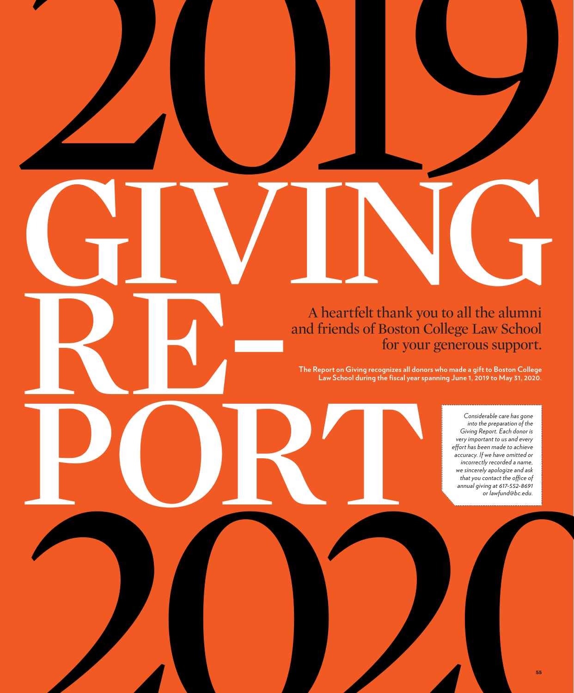A heartfelt thank you to all the alumni RE-A heartfelt thank you to all the alumni and friends of Boston College Law School for your generous support.

2019

The Report on Giving recognizes all done<br>Law School during the fixed year sp **The Report on Giving recognizes all donors who made a gift to Boston College Law School during the fiscal year spanning June 1, 2019 to May 31, 2020.** 

2020 *Considerable care has gone into the preparation of the Giving Report. Each donor is very important to us and every effort has been made to achieve accuracy. If we have omitted or incorrectly recorded a name, we sincerely apologize and ask that you contact the office of annual giving at 617-552-8691 or lawfund@bc.edu.*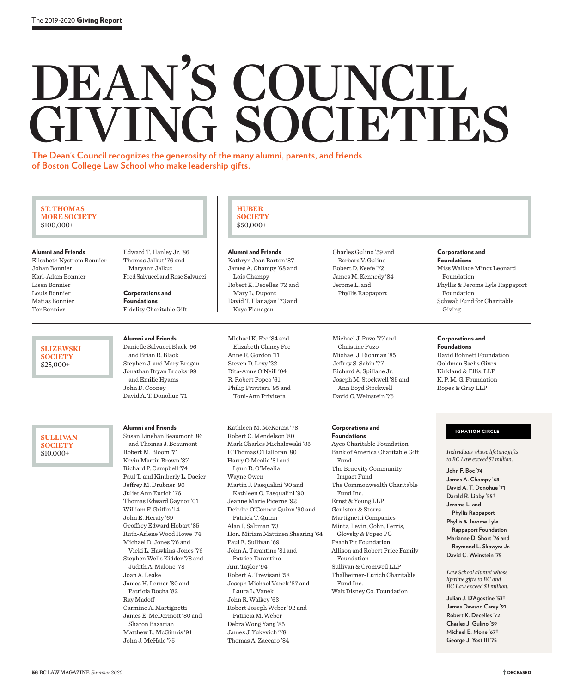# DEAN'S COUNCIL GIVING SOCIETIES

**HUBER SOCIETY** \$50,000+

Alumni and Friends Kathryn Jean Barton '87 James A. Champy '68 and Lois Champy Robert K. Decelles '72 and Mary L. Dupont David T. Flanagan '73 and Kaye Flanagan

Michael K. Fee '84 and Elizabeth Clancy Fee Anne R. Gordon '11 Steven D. Levy '22 Rita-Anne O'Neill '04 R. Robert Popeo '61 Philip Privitera '95 and Toni-Ann Privitera

**The Dean's Council recognizes the generosity of the many alumni, parents, and friends of Boston College Law School who make leadership gifts.** 

## **ST. THOMAS MORE SOCIETY** \$100,000+

Alumni and Friends

Elisabeth Nystrom Bonnier Johan Bonnier Karl-Adam Bonnier Lisen Bonnier Louis Bonnier Matias Bonnier Tor Bonnier

> **SLIZEWSKI SOCIETY** \$25,000+

**SULLIVAN SOCIETY** \$10,000+

Edward T. Hanley Jr. '86 Thomas Jalkut '76 and Maryann Jalkut Fred Salvucci and Rose Salvucci

Corporations and Foundations Fidelity Charitable Gift

## Alumni and Friends

Danielle Salvucci Black '96 and Brian R. Black Stephen J. and Mary Brogan Jonathan Bryan Brooks '99 and Emilie Hyams John D. Cooney David A. T. Donohue '71

## Alumni and Friends

Susan Linehan Beaumont '86 and Thomas J. Beaumont Robert M. Bloom '71 Kevin Martin Brown '87 Richard P. Campbell '74 Paul T. and Kimberly L. Dacier Jeffrey M. Drubner '90 Juliet Ann Eurich '76 Thomas Edward Gaynor '01 William F. Griffin '14 John E. Heraty '69 Geoffrey Edward Hobart '85 Ruth-Arlene Wood Howe '74 Michael D. Jones '76 and Vicki L. Hawkins-Jones '76 Stephen Wells Kidder '78 and Judith A. Malone '78 Joan A. Leake James H. Lerner '80 and Patricia Rocha '82 Ray Madoff Carmine A. Martignetti James E. McDermott '80 and Sharon Bazarian Matthew L. McGinnis '91 John J. McHale '75

Kathleen M. McKenna '78 Robert C. Mendelson '80 Mark Charles Michalowski '85 F. Thomas O'Halloran '80 Harry O'Mealia '81 and Lynn R. O'Mealia Wayne Owen Martin J. Pasqualini '90 and Kathleen O. Pasqualini '90 Jeanne Marie Picerne '92 Deirdre O'Connor Quinn '90 and Patrick T. Quinn Alan I. Saltman '73 Hon. Miriam Mattinen Shearing '64 Paul E. Sullivan '69 John A. Tarantino '81 and Patrice Tarantino Ann Taylor '94 Robert A. Trevisani '58 Joseph Michael Vanek '87 and Laura L. Vanek John R. Walkey '63 Robert Joseph Weber '92 and Patricia M. Weber Debra Wong Yang '85 James J. Yukevich '78

Thomas A. Zaccaro '84

Charles Gulino '59 and Barbara V. Gulino Robert D. Keefe '72 James M. Kennedy '84 Jerome L. and Phyllis Rappaport

Michael J. Puzo '77 and Christine Puzo Michael J. Richman '85 Jeffrey S. Sabin '77 Richard A. Spillane Jr. Joseph M. Stockwell '85 and Ann Boyd Stockwell David C. Weinstein '75

## Corporations and Foundations

Ayco Charitable Foundation Bank of America Charitable Gift Fund The Benevity Community Impact Fund The Commonwealth Charitable Fund Inc. Ernst & Young LLP Goulston & Storrs Martignetti Companies Mintz, Levin, Cohn, Ferris, Glovsky & Popeo PC Peach Pit Foundation Allison and Robert Price Family Foundation Sullivan & Cromwell LLP Thalheimer-Eurich Charitable Fund Inc. Walt Disney Co. Foundation

## Corporations and

Foundations Miss Wallace Minot Leonard Foundation Phyllis & Jerome Lyle Rappaport Foundation Schwab Fund for Charitable Giving

## Corporations and Foundations

David Bohnett Foundation Goldman Sachs Gives Kirkland & Ellis, LLP K. P. M. G. Foundation Ropes & Gray LLP

## IGNATION CIRCLE

*Individuals whose lifetime gifts to BC Law exceed \$1 million.*

**John F. Boc '74 James A. Champy '68 David A. T. Donohue '71 Darald R. Libby '55† Jerome L. and Phyllis Rappaport Phyllis & Jerome Lyle Rappaport Foundation Marianne D. Short '76 and** 

**Raymond L. Skowyra Jr. David C. Weinstein '75**

*Law School alumni whose lifetime gifts to BC and BC Law exceed \$1 million.*

**Julian J. D'Agostine '53† James Dawson Carey '91 Robert K. Decelles '72 Charles J. Gulino '59 Michael E. Mone '67† George J. Yost III '75**

56 BC LAW MAGAZINE *Summer 2020*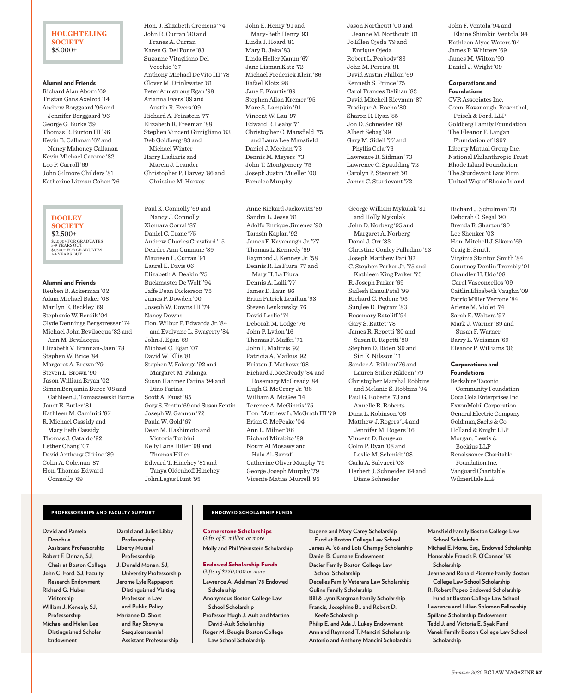## **HOUGHTELING SOCIETY** \$5,000+

## Alumni and Friends

Richard Alan Aborn '69 Tristan Gans Axelrod '14 Andrew Borggaard '96 and Jennifer Borggaard '96 George G. Burke '59 Thomas R. Burton III '96 Kevin B. Callanan '67 and Nancy Mahoney Callanan Kevin Michael Carome '82 Leo P. Carroll '69 John Gilmore Childers '81 Katherine Litman Cohen '76

## Hon. J. Elizabeth Cremens '74 John R. Curran '80 and Franes A. Curran Karen G. Del Ponte '83 Suzanne Vitagliano Del Vecchio '67 Anthony Michael DeVito III '78 Clover M. Drinkwater '81 Peter Armstrong Egan '98 Arianna Evers '09 and Austin R. Evers '09 Richard A. Feinstein '77 Elizabeth R. Freeman '88 Stephen Vincent Gimigliano '83 Deb Goldberg '83 and Michael Winter Harry Hadiaris and Marcia J. Leander Christopher P. Harvey '86 and Christine M. Harvey

Paul K. Connolly '69 and

John E. Henry '91 and Mary-Beth Henry '93 Linda J. Hoard '81 Mary R. Jeka '83 Linda Heller Kamm '67 Jane Lisman Katz '72 Michael Frederick Klein '86 Rafael Klotz '98 Jane P. Kourtis '89 Stephen Allan Kremer '95 Marc S. Lampkin '91 Vincent W. Lau '97 Edward R. Leahy '71 Christopher C. Mansfield '75 and Laura Lee Mansfield Daniel J. Meehan '72 Dennis M. Meyers '73 John T. Montgomery '75 Joseph Justin Mueller '00 Pamelee Murphy

Anne Rickard Jackowitz '89

Jason Northcutt '00 and Jeanne M. Northcutt '01 Jo Ellen Ojeda '79 and Enrique Ojeda Robert L. Peabody '83 John M. Pereira '81 David Austin Philbin '69 Kenneth S. Prince '75 Carol Frances Relihan '82 David Mitchell Rievman '87 Fradique A. Rocha '80 Sharon R. Ryan '85 Jon D. Schneider '68 Albert Sebag '99 Gary M. Sidell '77 and Phyllis Cela '76 Lawrence R. Sidman '73 Lawrence O. Spaulding '72 Carolyn P. Stennett '91 James C. Sturdevant '72

George William Mykulak '81 and Holly Mykulak John D. Norberg '95 and Margaret A. Norberg Donal J. Orr '83 Christine Conley Palladino '93 Joseph Matthew Pari '87 C. Stephen Parker Jr. '75 and Kathleen King Parker '75 R. Joseph Parker '69 Sailesh Kanu Patel '99 Richard C. Pedone '95 Sunjlee D. Pegram '83 Rosemary Ratcliff '94 Gary S. Rattet '78 James R. Repetti '80 and Susan R. Repetti '80 Stephen D. Riden '99 and Siri E. Nilsson '11 Sander A. Rikleen'76 and Lauren Stiller Rikleen '79 Christopher Marshal Robbins and Melanie S. Robbins '94 Paul G. Roberts '73 and Annelle R. Roberts Dana L. Robinson '06 Matthew J. Rogers '14 and Jennifer M. Rogers '16 Vincent D. Rougeau Colm P. Ryan '08 and Leslie M. Schmidt '08 Carla A. Salvucci '03 Herbert J. Schneider '64 and

John F. Ventola '94 and Elaine Shimkin Ventola '94 Kathleen Alyce Waters '94 James P. Whitters '69 James M. Wilton '90 Daniel J. Wright '09

## Corporations and Foundations

CVR Associates Inc. Conn, Kavanaugh, Rosenthal, Peisch & Ford. LLP Goldberg Family Foundation The Eleanor F. Langan Foundation of 1997 Liberty Mutual Group Inc. National Philanthropic Trust Rhode Island Foundation The Sturdevant Law Firm United Way of Rhode Island

Richard J. Schulman '70 Deborah C. Segal '90 Brenda R. Sharton '90 Lee Shenker '03 Hon. Mitchell J. Sikora '69

Virginia Stanton Smith '84 Courtney Donlin Trombly '01 Chandler H. Udo '08 Carol Vasconcellos '09 Caitlin Elizabeth Vaughn '09 Patric Miller Verrone '84 Arlene M. Violet '74 Sarah E. Walters '97 Mark J. Warner '89 and Susan F. Warner Barry L. Weisman '69 Eleanor P. Williams '06

Craig E. Smith

## **DOOLEY SOCIETY** \$2,500+ \$2,000+ FOR GRADUATES 5-9 YEARS OUT<br>\$1,500+ FOR GRADUATES<br>1-4 YEARS OUT

## Alumni and Friends

Reuben B. Ackerman '02 Adam Michael Baker '08 Marilyn E. Beckley '69 Stephanie W. Berdik '04 Clyde Dennings Bergstresser '74 Michael John Bevilacqua '82 and Ann M. Bevilacqua Elizabeth V. Brannan-Jaen '78 Stephen W. Brice '84 Margaret A. Brown '79 Steven L. Brown '90 Jason William Bryan '02 Simon Benjamin Burce '08 and Cathleen J. Tomaszewski Burce Janet E. Butler '81 Kathleen M. Caminiti '87 R. Michael Cassidy and Mary Beth Cassidy Thomas J. Cataldo '92 Esther Chang '07 David Anthony Cifrino '89 Colin A. Coleman '87 Hon. Thomas Edward Connolly '69

Nancy J. Connolly Xiomara Corral '87 Daniel C. Crane '75 Andrew Charles Crawford '15 Deirdre Ann Cunnane '89 Maureen E. Curran '91 Laurel E. Davis 06 Elizabeth A. Deakin '75 Buckmaster De Wolf '94 Jaffe Dean Dickerson '75 James P. Dowden '00 Joseph W. Downs III '74 Nancy Downs Hon. Wilbur P. Edwards Jr. '84 and Evelynne L. Swagerty '84 John J. Egan '69 Michael C. Egan '07 David W. Ellis '81 Stephen V. Falanga '92 and Margaret M. Falanga Susan Hanmer Farina '94 and Dino Farina Scott A. Faust '85 Gary S. Fentin '69 and Susan Fentin Joseph W. Gannon '72 Paula W. Gold '67 Dean M. Hashimoto and Victoria Turbini Kelly Lane Hiller '98 and Thomas Hiller Edward T. Hinchey '81 and Tanya Oldenhoff Hinchey John Legus Hunt '95

## Sandra L. Jesse '81 Adolfo Enrique Jimenez '90 Tamsin Kaplan '92 James F. Kavanaugh Jr. '77 Thomas L. Kennedy '69 Raymond J. Kenney Jr. '58 Dennis R. La Fiura '77 and Mary H. La Fiura Dennis A. Lalli '77 James D. Laur '86 Brian Patrick Lenihan '93 Steven Lenkowsky '76 David Leslie '74 Deborah M. Lodge '76 John P. Lydon '16 Thomas F. Maffei '71 John F. Malitzis '92 Patricia A. Markus '92 Kristen J. Mathews '98 Richard J. McCready '84 and Rosemary McCready '84 Hugh G. McCrory Jr. '86 William A. McGee '14 Terence A. McGinnis '75 Hon. Matthew L. McGrath III '79 Brian C. McPeake '04 Ann L. Milner '86 Richard Mirabito '89 Nourr Al Mosawy and Hala Al-Sarraf Catherine Oliver Murphy '79 George Joseph Murphy '79 Vicente Matias Murrell '95

# Diane Schneider

## Corporations and Foundations

Berkshire Taconic Community Foundation Coca Cola Enterprises Inc. ExxonMobil Corporation General Electric Company Goldman, Sachs & Co. Holland & Knight LLP Morgan, Lewis & Bockius LLP Renaissance Charitable Foundation Inc. Vanguard Charitable WilmerHale LLP

## PROFESSORSHIPS AND FACULTY SUPPORT

**David and Pamela Donohue Assistant Professorship Robert F. Drinan, SJ, Chair at Boston College John C. Ford, SJ, Faculty Research Endowment Richard G. Huber Visitorship William J. Kenealy, SJ, Professorship Michael and Helen Lee Distinguished Scholar Endowment** 

**Darald and Juliet Libby Professorship Liberty Mutual Professorship J. Donald Monan, SJ, University Professorship Jerome Lyle Rappaport Distinguished Visiting Professor in Law and Public Policy Marianne D. Short and Ray Skowyra Sesquicentennial Assistant Professorship**

## ENDOWED SCHOLARSHIP FUNDS

Cornerstone Scholarships *Gifts of \$1 million or more* **Molly and Phil Weinstein Scholarship**

## Endowed Scholarship Funds *Gifts of \$250,000 or more*

- **Lawrence A. Adelman '78 Endowed Scholarship**
- **Anonymous Boston College Law School Scholarship Professor Hugh J. Ault and Martina David-Ault Scholarship Roger M. Bougie Boston College Law School Scholarship**

**Eugene and Mary Carey Scholarship Fund at Boston College Law School James A. '68 and Lois Champy Scholarship Daniel B. Curnane Endowment Dacier Family Boston College Law School Scholarship Decelles Family Veterans Law Scholarship Gulino Family Scholarship Bill & Lynn Kargman Family Scholarship Francis, Josephine B., and Robert D. Keefe Scholarship Philip E. and Ada J. Lukey Endowment Ann and Raymond T. Mancini Scholarship Antonio and Anthony Mancini Scholarship**

**Mansfield Family Boston College Law School Scholarship Michael E. Mone, Esq., Endowed Scholarship Honorable Francis P. O'Connor '53 Scholarship Jeanne and Ronald Picerne Family Boston College Law School Scholarship R. Robert Popeo Endowed Scholarship Fund at Boston College Law School Lawrence and Lillian Solomon Fellowship Spillane Scholarship Endowment Tedd J. and Victoria E. Syak Fund Vanek Family Boston College Law School Scholarship**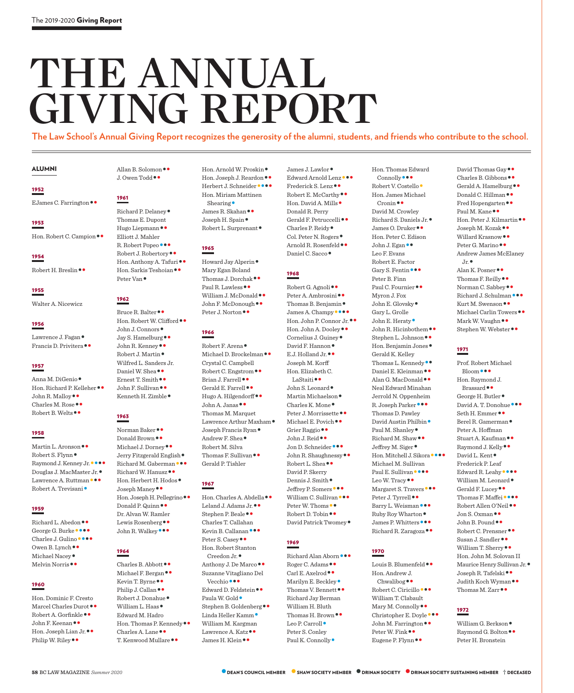## THE ANNUAL giving report

**The Law School's Annual Giving Report recognizes the generosity of the alumni, students, and friends who contribute to the school.**

## ALUMNI

## 1952

EJames C. Farrington••

## 1953

Hon. Robert C. Campion ••

## 1954

Robert H. Breslin••

## 1955

Walter A. Nicewicz

## 1956

Lawrence J. Fagan •<br>Francis D. Privitera ••

## 1957

Anna M. DiGenio •<br>Hon. Richard P. Kelleher • •<br>John R. Malloy • •<br>Charles M. Rose • •<br>Robert B. Welts • •

## 1958

Martin L. Aronson•• Robert S. Flynn• Raymond J. Kenney Jr.•••• Douglas J. MacMaster Jr.• Lawrence A. Ruttman••• Robert A. Trevisani•

## 1959

Richard L. Abedon•• George G. Burke•••• Charles J. Gulino•••• Owen B. Lynch•• Michael Nacey• Melvin Norris••

## 1960

Hon. Dominic F. Cresto Marcel Charles Durot<br>•• Robert A. Gorfinkle<br>•• John F. Keenan<br>••<br>Hon. Joseph Lian Jr.<br>••<br>Philip W. Riley Allan B. Solomon••<br>J. Owen Todd••

## 1961

Richard P. Delaney• Thomas E. Dupont Hugo Liepmann •• Elliott J. Mahler R. Robert J. Robertory<br>•• Robert J. Robertory<br>•• Hon. Anthony A. Tafuri<br>•• Hon. Sarkis Teshoian<br>•• Peter Van •

## 1962

Bruce R. Balter<br>•• Hon. Robert W. Clifford<br>•• John J. Connors<br>•• Jay S. Hamelburg<br>•• John R. Kenney<br>•• Robert J. Martin Wilfred L. Sanders Jr. Daniel W. Shea••<br>Ernest T. Smith••<br>John F. Sullivan••<br>Kenneth H. Zimble•

## 1963

Norman Baker••<br>Michael J. Dorney••<br>Jerry Fitzgerald English•<br>Richard M. Gaberman•••<br>Richard W. Hanusz••<br>Hon. Herbert H. Hodos•<br>Joseph Maney••<br>Donald P. Quinn•••<br>Donald P. Quinn••• Dr. Alvan W. Ramler Lewis Rosenberg ••<br>John R. Walkey •••

## 1964

Charles B. Abbott<br>•• Michael F. Bergan<br>•• Kevin T. Byrne<br>•• Philip J. Callan<br>•• Robert J. Donahue<br>• William L. Haas Edward M. Hadro Hon. Thomas P. Kennedy • ●<br>Charles A. Lane • ●<br>T. Kenwood Mullare • ● Hon. Arnold W. Proskin•<br>Hon. Joseph J. Reardon••<br>Herbert J. Schneider•••• Hon. Miriam Mattinen Shearing •<br>James R. Skahan • •<br>Joseph H. Spain •<br>Robert L. Surprenant •

## 1965

Howard Jay Alperin• Mary Egan Boland Thomas J. Dorchak<br>•• Paul R. Lawless<br>•• William J. McDonald<br>•• John F. McDonough<br>•• Peter J. Norton

## 1966

Robert F. Arena •<br>Michael D. Brockelman •• Crystal C. Campbell Robert C. Engstrom<br>•• Brian J. Farrell<br>•• Gerald E. Farrell<br>•• Hugo A. Hilgendorff<br>•• John A. Janas Thomas M. Marquet Lawrence Arthur Maxham ●<br>Joseph Francis Ryan ●<br>Andrew F. Shea ● Robert M. Silva Thomas F. Sullivan•• Gerald P. Tishler

## 1967

Hon. Charles A. Abdella••<br>Leland J. Adams Jr.••<br>Stephen P. Beale •• Charles T. Callahan Kevin B. Callanan•••<br>Peter S. Casey•• Hon. Robert Stanton Creedon Jr. •<br>Anthony J. De Marco •• Suzanne Vitagliano Del Vecchio • • •<br>Edward D. Feldstein • •<br>Paula W. Gold •<br>Stephen B. Goldenberg • •<br>Linda Heller Kamm • William M. Kargman Lawrence A. Katz ••<br>James H. Klein ••

James J. Lawlor<br>•• Edward Arnold Lenz<br>••• Frederick S. Lenz<br>••<br>Robert E. McCarthy<br>•• Hon. David A. Mills Donald R. Perry Gerald F. Petruccelli<br>•• Charles P. Reidy<br>•• Col. Peter N. Rogers<br>•• Arnold R. Rosenfeld<br>•• Daniel C. Sacco

## 1968

Robert G. Agnoli<br>•• Peter A. Ambrosini<br>•• Thomas B. Benjamin<br>• James A. Champy<br>•••• Hon. John A. Dooley<br>•• Cornelius J. Guiney<br>• Cornelius J. Guiney<br>• David F. Hannon<br>•• E. Holland Jr Joseph M. Korff Hon. Elizabeth C. LaStaiti••<br>John S. Leonard •<br>Martin Michaelson •<br>Peter J. Morrissette ••<br>Michael E. Povich ••<br>Grier Raggio ••<br>John J. Reid ••<br>John R. Shaughnessy••<br>Robert L. Shea •• David P. Skerry Dennis J. Smith •<br>Jeffrey P. Somers •••<br>William C. Sullivan •••<br>Peter W. Thoms ••<br>Robert D. Tobin •••<br>David Patrick Twomey•

## 1969

Richard Alan Aborn<br>•• Roger C. Adams ••<br>Carl E. Axelrod ••<br>Marilyn E. Beckley •<br>Thomas V. Bennett •• Richard Jay Berman William H. Bluth Thomas H. Brown ••<br>Leo P. Carroll • Peter S. Conley Paul K. Connolly ●

Hon. Thomas Edward Connolly •••<br>Robert V. Costello • Hon. James Michael Cronin•• David M. Crowley Richard S. Daniels Jr.• James O. Druker•• Hon. Peter C. Edison John J. Egan•• Leo F. Evans Robert E. Factor Gary S. Fentin ••• Peter B. Finn Paul C. Fournier •• Myron J. Fox John E. Glovsky• Gary L. Grolle John E. Heraty ●<br>John R. Hicinbothem ●●<br>Stephen L. Johnson ●●<br>Hon. Benjamin Jones● Gerald K. Kelley Thomas L. Kennedy<br>•• Daniel E. Kleinman<br>•• Alan G. MacDonald Neal Edward Minahan Jerrold N. Oppenheim R. Joseph Parker••• Thomas D. Pawley David Austin Philbin •<br>Paul M. Shanley •<br>Richard M. Shaw ••<br>Jeffrey M. Siger •<br>Hon. Mitchell J. Sikora •••• Michael M. Sullivan Paul E. Sullivan<br>•••• Margaret S. Travers<br>••• Peter J. Tyrrell<br>•• Barry L. Weisman<br>••• Ruby Roy Wharton<br>•• James P. Whitters<br>••• James P. Whitters<br>••• Richard R. Zaragoza

## 1970

Louis B. Blumenfeld •• Hon. Andrew J. Chwalibog • •<br>Robert C. Ciricillo • • • William T. Clabault Mary M. Connolly<br>•• Christopher E. Doyle<br>•• John M. Farrington<br>•• Peter W. Fink<br>•• Eugene P. Flynn

David Thomas Gay••<br>Gerald A. Hamelburg••<br>Donald C. Hillman••<br>Fred Hopengarten••<br>Paul M. Kane••<br>Hon. Peter J. Kilmartin••<br>Joseph M. Kozak••<br>Willard Krasnow••<br>Peter G. Marino•• Andrew James McElaney

Jr. •<br>Alan K. Posner • •<br>Thomas F. Reilly • •<br>Norman C. Sabbey • •<br>Richard J. Schulman • ••<br>Kurt M. Swenson • •<br>Mark W. Vaughn • •<br>Stephen W. Webster • •

## 1971

Prof. Robert Michael Bloom••• Hon. Raymond J. Brassard ••<br>George H. Butler •<br>David A. T. Donohue •••<br>Seth H. Emmer ••<br>Berel R. Gamerman • Peter A. Hoffman Stuart A. Kaufman ••<br>Raymond J. Kelly••<br>David L. Kent • Frederick P. Leaf Edward R. Leahy•••• William M. Leonard• Gerald F. Lucey•• Thomas F. Maffei•••• Robert Allen O'Neil•• Jon S. Oxman•• John B. Pound•• Robert C. Prensner•• Susan J. Sandler•• William T. Sherry•• Hon. John M. Solovan II Maurice Henry Sullivan Jr. •<br>Joseph R. Tafelski • •<br>Judith Koch Wyman • •<br>Thomas M. Zarr • •

## 1972

William G. Berkson ●<br>Baymond G. Bolton ●● Peter H. Bronstein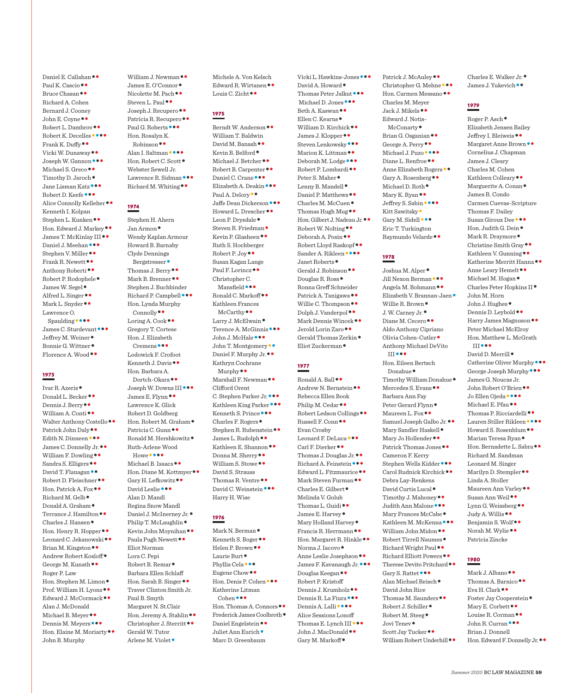Daniel E. Callahan ••<br>Paul K. Cascio ••<br>Bruce Chasan •• Richard A. Cohen Bernard J. Cooney John E. Coyne ••<br>Robert L. Dambrov ••<br>Robert K. Decelles ••••<br>Frank K. Duffy ••<br>Vicki W. Dunaway ••<br>Joseph W. Gannon •••<br>Michael S. Greco ••<br>Timothy D. Jaroch •<br>Jane Lisman Katz •••<br>Robert D. Keefe •••<br>Alice Connolly Kelle Kenneth I. Kolpan Stephen L. Kunken••<br>Hon. Edward J. Markey••<br>James T. McKinlay III••<br>Daniel J. Meehan•••<br>Stephen V. Miller••<br>Frank R. Newett••<br>Anthony Robert<br>•• Rodophele•<br>James W. Segel•<br>Alfred L. Singer•••<br>Mark L. Snyder••• Lawrence O. Spaulding ••••<br>James C. Sturdevant •••<br>Jeffrey M. Weiner •<br>Bonnie G. Wittner •<br>Florence A. Wood ••

## 1973

Ivar R. Azeris<br>
Donald L. Becker<br>
Dennis J. Berry<br>
William A. Conti<br>
Walter Anthony Costello<br>
Walter Anthony Costello<br>
Patrick John Daly<br>
Edith N. Dinneen<br>
Edith N. Dinneen<br>
Milliam F. Dowling<br>
Sandra S. Elligers<br>
David T. Roger P. Law Hon. Stephen M. Limon•<br>Prof. William H. Lyons••<br>Edward J. McCormack•• Alan J. McDonald Michael B. Meyer<br>•• Dennis M. Meyers<br>••• Hon. Elaine M. Moriarty John B. Murphy

William J. Newman<br>•• James E. O'Connor<br>• Nicolette M. Pach<br>•• Steven L. Paul<br>•• Joseph J. Recupero<br>•• Patricia R. Recupero<br>•• Paul G. Roberts<br>••• Hon. Rosalyn K. Robinson • •<br>Alan I. Saltman • • ••<br>Hon. Robert C. Scott • Webster Sewell Jr. Lawrence R. Sidman•••<br>Richard M. Whiting••

## 1974

Stephen H. Ahern Jan Armon• Wendy Kaplan Armour Howard B. Barnaby Clyde Dennings Bergstresser ●<br>Thomas J. Berry ●●<br>Mark B. Brenner ●● Stephen J. Buchbinder Richard P. Campbell ••• Hon. Lynda Murphy Connolly•• Loring A. Cook•• Gregory T. Cortese Hon. J. Elizabeth Cremens••• Lodowick F. Crofoot Kenneth J. Davis•• Hon. Barbara A. Dortch-Okara • •<br>Joseph W. Downs III • • •<br>James E. Flynn • • Lawrence K. Glick Robert D. Goldberg Hon. Robert M. Graham •<br>Patricia C. Gunn • •<br>Ronald M. Hershkowitz • Ruth-Arlene Wood Howe ••••<br>Michael B. Isaacs ••<br>Hon. Diane M. Kottmyer ••<br>Gary H. Lefkowitz ••<br>David Leslie ••• Alan D. Mandl Regina Snow Mandl Daniel J. McInerney Jr. •<br>Philip T. McLaughlin •<br>Kevin John Moynihan ••<br>Paula Pugh Newett •• Eliot Norman Lora C. Pepi Robert B. Remar• Barbara Ellen Schlaff Hon. Sarah B. Singer•• Traver Clinton Smith Jr. Paul B. Smyth Margaret N. St.Clair Hon. Jeremy A. Stahlin ••<br>Christopher J. Sterritt •• Gerald W. Tutor Arlene M. Violet•

Michele A. Von Kelsch Edward R. Wirtanen • •<br>Louis C. Zicht • •

## 1975

Berndt W. Anderson•• William T. Baldwin David M. Banash ••<br>Kevin B. Belford •<br>Michael J. Betcher ••<br>Robert B. Carpenter ••<br>Daniel C. Crane •••<br>Elizabeth A. Deakin ••••<br>Paul A. Delory ••<br>Jaffe Dean Dickerson ••••<br>Howard L. Drescher •••<br>Leon P. Drysdale •<br>Steven R Ruth S. Hochberger Robert P. Joy•• Susan Kagan Lange Paul F. Lorincz•• Christopher C. Mansfield •••<br>Ronald C. Markoff•• Kathleen Frances McCarthy<br>•• Larry J. McElwain<br>•• Terence A. McGinnis<br>•• John J. McHale<br>•• John T. Montgomery<br>•• Daniel F. Murphy Jr. Kathryn Cochrane Murphy • •<br>Marshall F. Newman • • Clifford Orent C. Stephen Parker Jr. •••<br>Kathleen King Parker •••<br>Kenneth S. Prince •••<br>Charles F. Rogers •<br>Stephen R. Rubenstein ••<br>James L. Rudolph ••<br>Kathleen E. Shannon ••<br>Donna M. Sherry ••<br>William S. Stowe •• David S. Strauss Thomas R. Ventre ••<br>David C. Weinstein ••• Harry H. Wise

## 1976

Mark N. Berman<br>• Kenneth S. Boger<br>•• Helen P. Brown<br>••<br>Phyllis Cela<br>••• Eugene Chow<br>•• Hon. Denis P. Cohen<br>••• Katherine Litman Cohen •••<br>Hon. Thomas A. Connors ••<br>Frederick James Coolbroth •<br>Daniel Engelstein ••<br>Juliet Ann Eurich • Marc D. Greenbaum

Vicki L. Hawkins-Jones<br>
\*\*\*<br>
David A. Howard<br>
Thomas Peter Jalkut<br>
\*\*\*<br>
Michael D. Jones<br>
\*\*\*<br>
Beth A. Kaswan<br>
\*\*\*<br>
Ellen C. Kearns<br>
\*\*\*\*<br>
William D. Kirchick<br>
\*\*\*<br>
Steven Lenkowsky<br>
\*\*\*\*<br>
Steven Lenkowsky<br>
\*\*\*\*<br>
Marion K. Ronna Greff Schneider Patrick A. Tanigawa<br>•• Willie C. Thompson<br>•• Dolph J. Vanderpol<br>•• Mark Dennis Wincek<br>•• Jerold Lorin Zaro<br>•• Gerald Thomas Zerkin<br>• Eliot Zuckerman<br>•

## 1977

Ronald A. Ball ••<br>Andrew N. Bernstein •• Rebecca Ellen Book Philip M. Cedar••<br>Robert Ledson Collings••<br>Russell F. Conn•• Evan Crosby Leonard F. DeLuca<br>•• Carl F. Dierker<br>•• Thomas J. Douglas Jr.••<br>Richard A. Feinstein<br>•• Edward L. Fitzmaurice<br>•• Mark Steven Furman<br>•• Charles E. Gilbert<br>• Melinda V. Golub Thomas L. Guidi••<br>James E. Harvey•<br>Mary Holland Harvey•<br>Francis R. Herrmann••<br>Hon. Margaret R. Hinkle••<br>Norma J. Iacovo•<br>Anne Leslie Josephson••<br>James F. Kavanaugh Jr.•••<br>Douglas Keegan•• Robert P. Kristoff Dennis J. Krumholz••<br>Dennis R. La Fiura•••<br>Dennis A. Lalli•••• Alice Sessions Lonoff Thomas E. Lynch III •••<br>John J. MacDonald ••<br>Gary M. Markoff •

Patrick J. McAuley ••<br>Christopher G. Mehne •••<br>Hon. Carmen Messano •• Charles M. Meyer Jack J. Mikels•• Edward J. Notis-McConarty •<br>Brian G. Osganian • •<br>George A. Perry • •<br>Michael J. Puzo • •••<br>Anne Elizabeth Rogers •<br>Gary A. Rosenberg ••<br>Michael D. Roth •<br>Jeffrey S. Sabin ••••<br>Kitt Sawitsky•<br>Gary M. Sidell ••• Eric T. Turkington Raymundo Velarde••

## 1978

Joshua M. Alper<br>•• Jill Nexon Berman<br>•• Angela M. Bohmann<br>•• Elizabeth V. Brannan-Jaen<br>•• Willie R. Brown<br>•• J. W. Carney Jr.•<br>Diane M. Cecero Aldo Anthony Cipriano Olivia Cohen-Cutler• Anthony Michael DeVito III••• Hon. Eileen Bertsch

Donahue ●<br>Timothy William Donahue ●<br>Mercedes S. Evans ● ● Barbara Ann Fay Peter Gerard Flynn<br>• Maureen L. Fox •<br>Samuel Joseph Galbo Jr. ••<br>Mary Sandler Haskell •<br>Mary Jo Hollender ••<br>Patrick Thomas Jones •• Cameron F. Kerry Stephen Wells Kidder •••<br>Carol Rudnick Kirchick •• Debra Lay-Renkens David Curtis Lucal<br>
Timothy J. Mahoney<br>
Judith Ann Malone<br>
Judith Ann Malone<br>
Mary Frances McCabe<br>
Kathleen M. McKenna<br>
William John Midon<br>
Robert Tirrell Naumes<br>
Richard Elliott Powers<br>
Therese Devito Pritchard<br>
Gary S. R David John Rice Thomas M. Saunders ••<br>Robert J. Schiller •<br>Robert M. Steeg •<br>Jovi Tenev •<br>Scott Jay Tucker ••<br>William Robert Underhill ••

Charles E. Walker Jr. ●<br>James J. Yukevich ●●

## 1979

Roger P. Asch• Elizabeth Jensen Bailey Jeffrey I. Bleiweis••<br>Margaret Anne Brown•• Cornelius J. Chapman James J. Cleary Charles M. Cohen Kathleen Colleary•• Marguerite A. Conan• James R. Condo Carmen Cuevas-Scripture Thomas F. Dailey Susan Giroux Dee<br>••• Hon. Judith G. Dein<br>•• Mark R. Draymore<br>• Christine Smith Gray<br>•• Kathleen V. Gunning<br>•• Katherine Merritt Hanna<br>•• Michael M. Hogan<br>• Charles Peter Hopkins II<br>• John M. Horn John J. Hughes •<br>Dennis D. Leybold • •<br>Harry James Magnuson • • Peter Michael McElroy Hon. Matthew L. McGrath

III•••<br>David D. Merrill •<br>Catherine Oliver Murphy •••<br>George Joseph Murphy ••• James G. Noucas Jr. John Robert O'Brien ••<br>Jo Ellen Ojeda ••••<br>Michael E. Pfau ••<br>Thomas P. Ricciardelli ••<br>Lauren Stiller Rikleen ••••<br>Howard S. Rosenblum ••<br>Marian Teresa Ryan •<br>Hon. Bernadette L. Sabra •• Richard M. Sandman Leonard M. Singer Marilyn D. Stempler<sup>••</sup> Linda A. Stoller Maureen Ann Varley••<br>Susan Ann Weil••<br>Lynn G. Weissberg••<br>Judy A. Willis••<br>Benjamin S. Wolf••<br>Norah M. Wylie•• Patricia Zincke

## 1980

Mark J. Albano<br>•• Thomas A. Barnico<br>•• Eva H. Clark ••<br>Foster Jay Cooperstein<br>• Mary E. Corbett<br>••<br>Louise R. Corman<br>••<br>John R. Curran Brian J. Donnell Hon. Edward F. Donnelly Jr. ••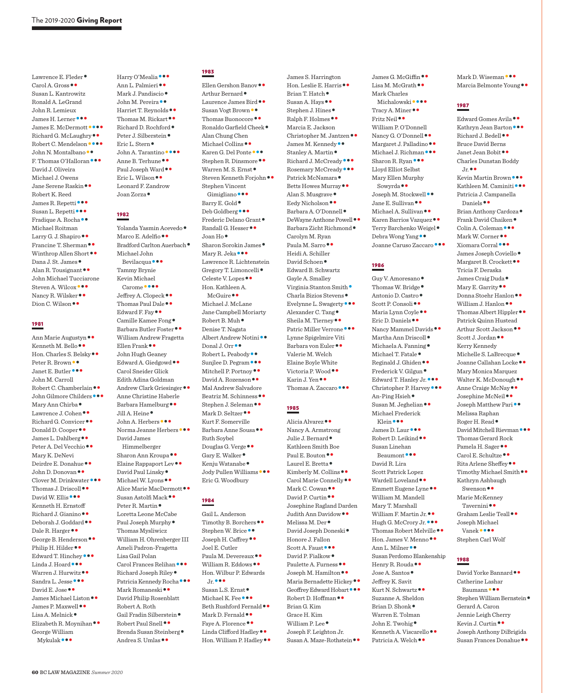Lawrence E. Fleder •<br>Carol A. Gross • • Susan L. Kantrowitz Ronald A. LeGrand John R. Lemieux James H. Lerner••• James E. McDermott•••• Richard G. McLaughry•• Robert C. Mendelson•••• John N. Montalbano•• F. Thomas O'Halloran••• David J. Oliveira Michael J. Owens Jane Serene Raskin•• Robert K. Reed James R. Repetti<br>Susan L. Repetti<br>Fradique A. Rocha<sup>••</sup> Michael Roitman Larry G. J. Shapiro••<br>Francine T. Sherman••<br>Winthrop Allen Short••<br>Dana J. St. James•<br>Alan R. Tousignant•• John Michael Tucciarone Steven A. Wilcox•••<br>Nancy R. Wilsker••<br>Dion C. Wilson ••

## 1981

Ann Marie Augustyn ••<br>Kenneth M. Bello ••<br>Hon. Charles S. Belsky ••<br>Peter R. Brown ••<br>Janet E. Butler John M. Carroll Robert C. Chamberlain ••<br>John Gilmore Childers •••<br>Mary Ann Chirba •<br>Lawrence J. Cohen ••<br>Richard G. Convicer ••<br>Donald D. Cooper ••<br>James L. Dahlberg ••<br>Peter A. Del Vecchio •• Mary K. DeNevi Deirdre E. Donahue ••<br>John D. Donovan ••<br>Clover M. Drinkwater •••<br>Thomas J. Driscoll ••<br>David W. Ellis ••• Kenneth H. Ernstoff Richard J. Gianino<br>
Deborah J. Goddard<br>
Dale R. Harger<br>
George B. Henderson<br>
Philip H. Hilder<br>
Edward T. Hinchey<br>
Linda J. Hoard<br>
Warren J. Hurwitz<br>
Sandra L. Jesse<br>
David E. Jose<br>
James Michael Liston<br>
James P. Maxwell<br>
J George William Mykulak•••

Harry O'Mealia<br>
Ann L. Palmieri<br>
Mark J. Pandiscio<br>
John M. Pereira<br>
Harriet T. Reynolds<br>
Harriet T. Reynolds<br>
Thomas M. Rickart<br>
Peter J. Siberstein<br>
Eric L. Stern<br>
Anne B. Terhune<br>
Anne B. Terhune<br>
Paul Joseph Ward<br>
Fric Leonard F. Zandrow Joan Zorza•

## 1982

Yolanda Yasmin Acevedo •<br>Marco E. Adelfio • •<br>Bradford Carlton Auerbach • Michael John Bevilacqua••• Tammy Brynie Kevin Michael Carome ••••<br>Jeffrey A. Clopeck ••<br>Thomas Paul Dale ••<br>Edward F. Fay ••<br>Camille Kamee Fong •<br>Barbara Butler Foster •• William Andrew Fragetta Ellen Frank•• John Hugh Geaney Edward A. Giedgowd•• Carol Sneider Glick Edith Adina Goldman Andrew Clark Griesinger•• Anne Christine Haberle Barbara Hamelburg••<br>Jill A. Heine •<br>John A. Herbers •••<br>Norma Jeanne Herbers ••• David James Himmelberger Sharon Ann Kroupa ••<br>Elaine Rappaport Lev ••<br>David Paul Linsky •<br>Michael W. Lyons ••<br>Alice Marie MacDermott ••<br>Susan Astolfi Mack ••<br>Peter R. Martin • Loretta Leone McCabe Paul Joseph Murphy• Thomas Mysliwicz William H. Ohrenberger III Ameli Padron-Fragetta Lisa Gail Polan Carol Frances Relihan<br>•• Richard Joseph Riley<br>•• Patricia Kennedy Rocha<br>••• Mark Romaneski David Philip Rosenblatt Robert A. Roth Gail Fradin Silberstein<br>• Robert Paul Snell<br>• Brenda Susan Steinberg<br>• Andrea S. Umlas

## 1983

Ellen Gershon Banov<br>•• Arthur Bernard<br>•• Laurence James Bird<br>•• Susan Vogt Brown<br>•• Thomas Buonocore<br>•• Ronaldo Garfield Cheek Alan Chung Chen Michael Collins ••<br>Karen G. Del Ponte •••<br>Stephen R. Dinsmore ••<br>Warren M. S. Ernst •<br>Steven Kenneth Forjohn •• Stephen Vincent Gimigliano<br>•• Barry E. Gold<br>• Deb Goldberg<br>•• Frederic Delano Grant<br>• Randall G. Hesser<br>•• Joan Ho<br>• Sharon Sorokin James<br>• Mary R. Jeka<br>•• Lawrence R. Lichtenstein Gregory T. Limoncelli ●<br>Celeste V. Lopes ● ● Hon. Kathleen A. McGuire<sup>•</sup> Michael J. McLane Jane Campbell Moriarty Robert B. Muh• Denise T. Nagata Albert Andrew Notini<br>•• Donal J. Orr<br>•• Robert L. Peabody<br>•• Sunjlee D. Pegram<br>•• Mitchell P. Portnoy<br>•• David A. Rozenson Mal Andrew Salvadore Beatriz M. Schinness<br>•• Stephen J. Seleman ••<br>Mark D. Seltzer •• Kurt F. Somerville Barbara Anne Sousa•• Ruth Soybel Douglas G. Verge • •<br>Gary E. Walker •<br>Kenju Watanabe •<br>Jody Pullen Williams ••• Eric G. Woodbury

## 1984

Gail L. Anderson Timothy B. Borchers<br>•• Stephen W. Brice<br>•• Joseph H. Caffrey Joel E. Cutler Paula M. Devereaux ••<br>William R. Eddows •• Hon. Wilbur P. Edwards

Susan L.S. Ernst<br>• Michael K. Fee<br>••• Beth Rushford Fernald<br>•• Mark D. Fernald<br>••<br>Faye A. Florence<br>•• Linda Clifford Hadley<br>•• Hon. William P. Hadley<br>••

James S. Harrington Hon. Leslie E. Harris • •<br>Brian T. Hatch •<br>Susan A. Hays • •<br>Stephen J. Hines •<br>Ralph F. Holmes • • Marcia E. Jackson Christopher M. Jantzen<br>
M. Marchiev M. Martin<br>
Stanley A. Martin<br>
Richard J. McCready<br>
Rosemary McCready<br>
Patrick McNamara<br>
Petts Howes Murray<br>
Petts Howes Murray<br>
Pedy Nicholson<br>
Barbara A. O'Donnell<br>
DeWayne Anthone Powe Carolyn M. Ryan Paula M. Sarro•• Heidi A. Schiller David Schoen• Edward B. Schwartz Gayle A. Smalley Virginia Stanton Smith•<br>Charla Bizios Stevens•<br>Evelynne L. Swagerty•••<br>Alexander C. Tang•<br>Sheila M. Tierney•••<br>Patric Miller Verrone•••• Lynne Spigelmire Viti Barbara von Euler•• Valerie M. Welch Elaine Boyle White Victoria P. Wood ••<br>Karin J. Yen ••<br>Thomas A. Zaccaro •••

## 1985

Alicia Alvarez<sup>●●</sup> Nancy A. Armstrong Julie J. Bernard• Kathleen Smith Boe Paul E. Bouton • •<br>Laurel E. Bretta •<br>Kimberly M. Collins • •<br>Carol Marie Connelly ••<br>Mark C. Cowan • •<br>David P. Curtin •• Josephine Ragland Darden Judith Ann Davidow ••<br>Melissa M. Der •<br>David Joseph Doneski • Honore J. Fallon Scott A. Faust<br>•• David P. Fialkow<br>• Paulette A. Furness<br>•• Joseph M. Hamilton<br>•• Maria Bernadette Hickey<br>•• Geoffrey Edward Hobart<br>•• Robert D. Hoffman<br>•• Brian G. Kim Grace H. Kim William P. Lee<sup>•</sup> Joseph F. Leighton Jr. Susan A. Maze-Rothstein••

James G. McGiffin•• Lisa M. McGrath•• Mark Charles Michalowski ••••<br>Tracy A. Miner ••<br>Fritz Neil •• William P. O'Donnell Nancy G. O'Donnell ••<br>Margaret J. Palladino ••<br>Michael J. Richman •••<br>Sharon R. Ryan ••• Lloyd Elliot Selbst Mary Ellen Murphy Sowyrda ••<br>Joseph M. Stockwell ••<br>Jane E. Sullivan ••<br>Michael A. Sullivan ••<br>Karen Barrios Vazquez ••<br>Terry Barchenko Weigel•<br>Debra Wong Yang ••<br>Joanne Caruso Zaccaro •••

## 1986

Guy V. Amoresano<br>
Thomas W. Bridge<br>
Antonio D. Castro<br>
Scott P. Consoli<br>
Scott P. Consoli<br>
Maria Lynn Coyle<br>
Fric D. Daniels<br>
Nancy Mammel Davids<br>
Martha Ann Driscoll<br>
Michael R. Tratale<br>
Michael T. Tatale<br>
Reginald J. Ghi Michael Frederick Klein •••<br>James D. Laur •••<br>Robert D. Leikind •• Susan Linehan Beaumont••• David R. Lira Scott Patrick Lopez Wardell Loveland•• Emmett Eugene Lyne•• William M. Mandell Mary T. Marshall William F. Martin Jr. ••<br>Hugh G. McCrory Jr. •••<br>Thomas Robert Melville ••<br>Hon. James V. Menno ••<br>Ann L. Milner •• Susan Perdomo Blankenship Henry R. Rouda • •<br>Jose A. Santos • Jeffrey K. Savit Kurt N. Schwartz•• Suzanne A. Sheldon Brian D. Shonk• Warren E. Tolman John E. Twohig• Kenneth A. Viscarello•• Patricia A. Welch••

Mark D. Wiseman •••<br>Marcia Belmonte Young ••

## 1987

Edward Gomes Avila • •<br>Kathryn Jean Barton • • •<br>Richard J. Bedell • • Bruce David Berns Janet Jean Bobit•• Charles Dunstan Boddy Jr.•• Kevin Martin Brown••• Kathleen M. Caminiti••• Patricia J. Campanella Daniels ••<br>Brian Anthony Cardoza •<br>Frank David Chaiken •<br>Colin A. Coleman •••<br>Mark W. Corner••<br>Ziomara Corral •••<br>James Joseph Coviello •<br>Margaret B. Crockett •• Tricia F. Deraska James Craig Duda •<br>Mary E. Garrity ••<br>Donna Stoehr Hanlon ••<br>William J. Hanlon ••<br>Thomas Albert Hippler •• Patrick Quinn Hustead Arthur Scott Jackson••<br>Scott J. Jordan•• Kerry Kennedy Michelle S. LaBrecque<br>Joanne Callahan Locke<br/>  $\bullet\,\bullet$ Mary Monica Marquez Walter K. McDonough • •<br>Anne Craige McNay • •<br>Joseph Matthew Pari • • Melissa Raphan Roger H. Read ●<br>David Mitchell Rievman ● ●● Thomas Gerard Rock

Pamela H. Sager • •<br>Carol E. Schultze • •<br>Rita Arlene Sheffey • •<br>Timothy Michael Smith • • Kathryn Ashbaugh Swenson•• Marie McKenney Tavernini • •<br>Graham Leslie Teall • • Joseph Michael Vanek•••• Stephen Carl Wolf

## 1988

David Yorke Bannard •• Catherine Lashar Baumann ••••<br>Stephen William Bernstein • Gerard A. Caron Jennie Leigh Cherry Kevin J. Curtin •• Joseph Anthony DiBrigida Susan Frances Donahue••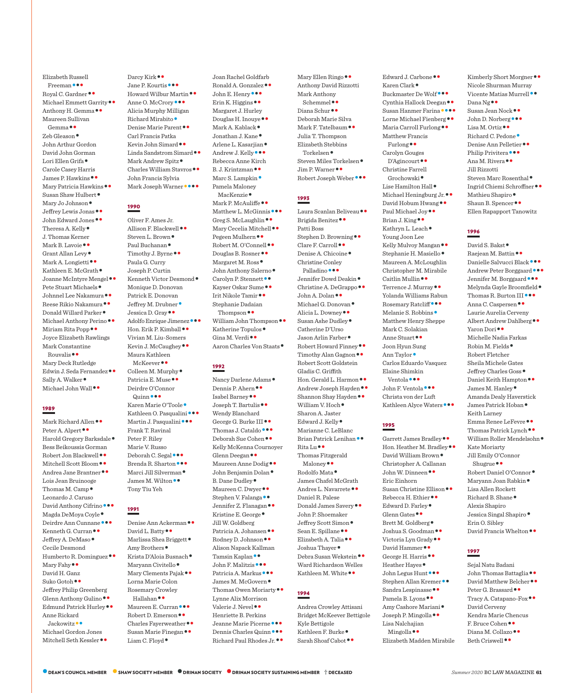Elizabeth Russell Freeman • • •<br>Royal C. Gardner • •<br>Michael Emmett Garrity • •<br>Anthony H. Gemma • • Maureen Sullivan Gemma•• Zeb Gleason• John Arthur Gordon David John Gorman Lori Ellen Grifa• Carole Casey Harris James P. Hawkins<br>•• Mary Patricia Hawkins<br>•• Susan Shaw Hulbert<br>•• Mary Jo Johnson<br>•• Jeffrey Lewis Jonas<br>•• John Edward Jones<br>•• Theresa A. Kelly J. Thomas Kerner Mark B. Lavoie • •<br>Grant Allan Levy •<br>Mark A. Longietti • •<br>Kathleen E. McGrath •<br>Joanne McIntyre Mengel • •<br>Pete Stuart Michaels •<br>Johnnel Lee Nakamura • •<br>Donald Willard Parker •<br>Michael Anthony Perino • •<br>Michael Anthon Joyce Elizabeth Rawlings Mark Constantine Rouvalis•• Mary Deck Rutledge Edwin J. Seda Fernandez ••<br>Sally A. Walker •<br>Michael John Wall ••

## 1989

Mark Richard Allen • •<br>Peter A. Alpert • •<br>Harold Gregory Barksdale • Bess Beikoussis Gorman Robert Jon Blackwell ••<br>Mitchell Scott Bloom ••<br>Andrea Jane Brantner •• Lois Jean Bruinooge Thomas M. Camp• Leonardo J. Caruso David Anthony Cifrino •••<br>Magda DeMoya Coyle •<br>Deirdre Ann Cunnane •••<br>Kenneth G. Curran ••<br>Jeffrey A. DeMaso • Cecile Desmond Humberto R. Dominguez ••<br>Mary Fahy •• David H. Ganz Suko Gotoh•• Jeffrey Philip Greenberg Glenn Anthony Gulino • •<br>Edmund Patrick Hurley • • Anne Rickard Jackowitz<sup>••</sup> Michael Gordon Jones Mitchell Seth Kessler••

Darcy Kirk • •<br>Jane P. Kourtis • • •<br>Howard Wilbur Martin • •<br>Anne O. McCrory • • • Alicia Murphy Milligan Richard Mirabito •<br>Denise Marie Parent • • Carl Francis Patka Kevin John Simard • •<br>Linda Sandstrom Simard • •<br>Mark Andrew Spitz •<br>Charles William Stavros • • John Francis Sylvia Mark Joseph Warner

## 1990

Oliver F. Ames Jr. Allison F. Blackwell<br>•• Steven L. Brown<br>•• Paul Buchanan<br>•• Timothy J. Byrne Paula G. Curry Joseph P. Curtin Kenneth Victor Desmond• Monique D. Donovan Patrick E. Donovan Jeffrey M. Drubner<br>• Jessica D. Gray<br>• Adolfo Enrique Jimenez<br>••• Hon. Erik P. Kimball Vivian M. Liu-Somers Kevin J. McCaughey•• Maura Kathleen McKeever • •<br>Colleen M. Murphy •<br>Patricia E. Muse • • Deirdre O'Connor Quinn •••<br>Karen Marie O'Toole •<br>Kathleen O. Pasqualini •••<br>Martin J. Pasqualini ••• Frank T. Ravinal Peter F. Riley Marie V. Russo Deborah C. Segal •••<br>Brenda R. Sharton •••<br>Marci Jill Silverman •<br>James M. Wilton •• Tony Tiu Yeh

## 1991

David L. Batty<br>•• Marlissa Shea Briggett<br>• Marlissa Shea Briggett<br>• Amy Brothers<br>• Krista D'Aloia Busnach<br>• Maryann Civitello<br>• Mary Clements Pajak<br>• • Lorna Marie Colon Rosemary Crowley Hallahan<br>•• Maureen E. Curran<br>•• Robert D. Emerson<br>•• Charles Fayerweather<br>•• Susan Marie Finegan<br>•• Liam C. Floyd

Ronald A. Gonzalez ••<br>John E. Henry •••<br>Erin K. Higgins •• Margaret J. Hurley Douglas H. Inouye • ●<br>Mark A. Kablack ●<br>Jonathan J. Kane ●<br>Arlene L. Kasarjian ●<br>Andrew J. Kelly ● ● Rebecca Anne Kirch B. J. Krintzman<sup>••</sup><br>Marc S. Lampkin • Pamela Maloney MacKenzie<br>
Mark P. McAuliffe<br>
Matthew L. McGinnis<br>
Greg S. McLaughlin<br>
Mary Cecelia Mitchell<br>
Pegeen Mulhern<br>
Robert M. O'Connell<br>
Douglas B. Rosner<br>
Margaret M. Ross<br>
John Anthony Salerno<br>
Carolyn P. Stennett<br>
Kayser Oska Stephanie Dadaian Thompson • •<br>William John Thompson • •<br>Katherine Topulos •<br>Gina M. Verdi • •<br>Aaron Charles Von Staats •

Joan Rachel Goldfarb

## 1992

Nancy Darlene Adams •<br>Dennis P. Ahern • •<br>Isabel Barney • •<br>Joseph T. Bartulis • • Wendy Blanchard George G. Burke III<br>•• Thomas J. Cataldo<br>••• Deborah Sue Cohen Kelly McKenna Cournoyer Glenn Deegan<br>•• Maureen Anne Dodig<br>•• John Benjamin Dolan<br>•• B. Dane Dudley<br>•• Maureen C. Dwyer<br>•• Stephen V. Falanga<br>•• Jennifer Z. Flanagan<br>•• Kristine E. George• Jill W. Goldberg Patricia A. Johansen ••<br>Rodney D. Johnson •• Alison Napack Kallman Tamsin Kaplan • •<br>John F. Malitzis • • •<br>Patricia A. Markus • • •<br>James M. McGovern •<br>Thomas Owen Moriarty • • Lynne Alix Morrison Valerie J. Nevel•• Henriette B. Perkins Jeanne Marie Picerne••• Dennis Charles Quinn••• Richard Paul Rhodes Jr.••

Mary Ellen Ringo•• Anthony David Rizzotti Mark Anthony Schemmel•• Diana Schur•• Deborah Marie Silva Mark F. Tatelbaum •• Julia T. Thompson Elizabeth Stebbins Torkelsen ●<br>Steven Miles Torkelsen ●<br>Jim P. Warner ● ●<br>Robert Joseph Weber ● ● ●

## 1993

Laura Scanlan Beliveau • •<br>Brigida Benitez • • Patti Boss Stephen D. Browning • •<br>Clare F. Carroll • •<br>Denise A. Chicoine • Christine Conley Palladino •••<br>Jennifer Dowd Deakin •<br>Christine A. DeGrappo ••<br>John A. Dolan ••<br>Michael G. Donovan •<br>Alicia L. Downey ••<br>Susan Ashe Dudley • Catherine D'Urso Jason Arlin Farber<br>• Robert Howard Finney<br>• Timothy Alan Gagnon Robert Scott Goldstein Gladis C. Griffith Hon. Gerald L. Harmon••<br>Andrew Joseph Hayden••<br>Shannon Shay Hayden••<br>William V. Hoch• Sharon A. Jaster Edward J. Kelly• Marianne C. LeBlanc Brian Patrick Lenihan ••<br>Rita Lu•• Thomas Fitzgerald Maloney ••<br>Bodolfo Mata • James Chafel McGrath Andres L. Navarrete•• Daniel R. Palese Donald James Savery•• John P. Shoemaker Jeffrey Scott Simon•<br>Sean E. Spillane ••<br>Elizabeth A. Talia ••<br>Joshua Thayer •<br>Debra Susan Wekstein •• Ward Richardson Welles Kathleen M. White ••

## 1994

Andrea Crowley Attisani Bridget McKeever Bettigole Kyle Bettigole Kathleen F. Burke ●<br>Sarah Shoaf Cabot ●●

Edward J. Carbone ••<br>Karen Clark •<br>Buckmaster De Wolf •••<br>Cynthia Hallock Deegan ••<br>Susan Hanmer Farina ••••<br>Lorne Michael Fienberg ••<br>Maria Carroll Furlong •• Matthew Francis Furlong•• Carolyn Gouges D'Agincourt•• Christine Farrell Grochowski<br>• Lise Hamilton Hall<br>• Michael Heningburg Jr.<br>•• David Hobum Hwang<br>••<br>Paul Michael Joy<br>••<br>Brian J. King<br>•• Kathryn L. Leach<br>• Young Joon Lee Kelly Mulvoy Mangan • •<br>Stephanie H. Masiello • Maureen A. McLoughlin Christopher M. Mirabile Caitlin Mullin ••<br>Terrence J. Murray •• Yolanda Williams Rabun Rosemary Ratcliff•••<br>Melanie S. Robbins• Matthew Henry Sheppe Mark C. Solakian Anne Stuart•• Joon Hyun Sung Ann Taylor• Carlos Eduardo Vasquez Elaine Shimkin Ventola••• John F. Ventola••• Christa von der Luft Kathleen Alyce Waters •••

## 1995

Garrett James Bradley<br>•• Hon. Heather M. Bradley<br>•• David William Brown Christopher A. Callanan John W. Dinneen •• Eric Einhorn Susan Christine Ellison<br>
Rebecca H. Ethier<br>
Edward D. Farley<br>
Edward D. Farley<br>
Glenn Gates<br>
Pertt M. Goldberg<br>
Joshua S. Goodman<br>
Victoria Lyn Grady<br>
David Hammer<br>
Neacher Hayes<br>
Heather Hayes<br>
Heather Hayes<br>
Stephen Alla Lisa Nalchaiian Mingolla<sup>••</sup> Elizabeth Madden Mirabile

Kimberly Short Morgner•• Nicole Shurman Murray Vicente Matias Murrell ••<br>Susan Jean Nock ••<br>John D. Norberg •••<br>Lisa M. Ortiz ••<br>Richard C. Pedone •<br>Denise Ann Pelletier ••<br>Philip Privitera •••<br>Ana M. Rivera •• Jill Rizzotti Steven Marc Rosenthal<br>• Ingrid Chiemi Schroffner<br>•• Mathieu Shapiro<br>•<br>Shaun B. Spencer Ellen Rapapport Tanowitz

## 1996

David S. Bakst •<br>Raejean M. Battin ••<br>Danielle Salvucci Black •••<br>Andrew Peter Borggaard •••<br>Jennifer M. Borggaard •••<br>Melynda Gayle Broomfield<br>Thomas R. Burton III••••<br>Anna C. Caspersen••• Laurie Aurelia Cerveny Albert Andrew Dahlberg•• Yaron Dori•• Michelle Nadia Farkas Robin M. Fields• Robert Fletcher Sheila Michele Gates Jeffrey Charles Goss• Daniel Keith Hampton•• James M. Hanley• Amanda Dealy Haverstick James Patrick Hoban• Keith Larney Emma Renee LeFevre ••<br>Thomas Patrick Lynch ••<br>William Roller Mendelsohn • Kate Moriarty Jill Emily O'Connor Shugrue•• Robert Daniel O'Connor• Maryann Joan Rabkin• Lisa Allen Rockett Richard B. Shane• Alexis Shapiro Jessica Singal Shapiro• Erin O. Sibley David Francis Whelton••

## 1997

Sejal Natu Badani John Thomas Battaglia<br>•• David Matthew Belcher<br>•• Peter G. Brassard<br>•• Tracy A. Catapano-Fox David Cerveny Kendra Marie Chencus F. Bruce Cohen • •<br>Diana M. Collazo • •<br>Beth Criswell • •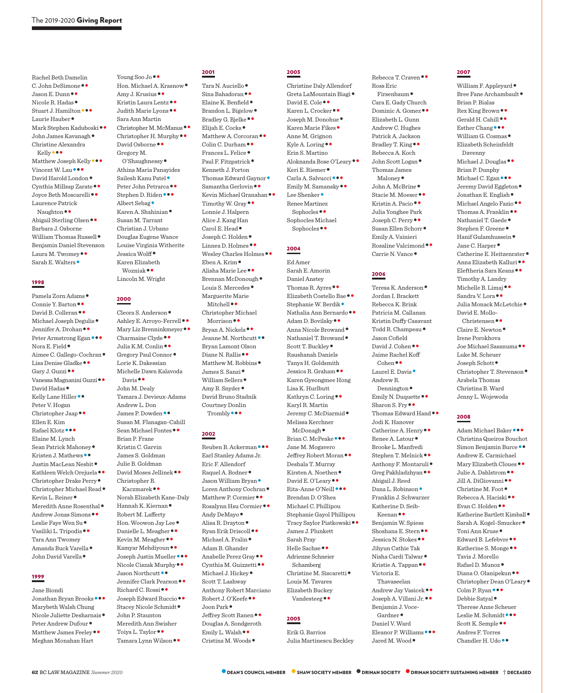Rachel Beth Damelin C. John DeSimone ••<br>Jason E. Dunn ••<br>Nicole R. Hadas •<br>Stuart J. Hamilton •••<br>Laurie Hauber •<br>Mark Stephen Kaduboski ••<br>John James Kavanagh • Christine Alexandra Kelly •••<br>Matthew Joseph Kelly •••<br>Vincent W. Lau •••<br>David Harold London •<br>Cynthia Millsap Zarate ••<br>Joyce Beth Moscarelli •• Laurence Patrick Naughton ••<br>Abigail Sterling Olsen •• Barbara J. Osborne William Thomas Russell• Benjamin Daniel Stevenson Laura M. Twomey ••<br>Sarah E. Walters •

## 1998

Pamela Zorn Adams<br>
Connie Y. Barton<br>
David B. Colleran<br>
Michael Joseph Degulis<br>
Jennifer A. Drohan<br>
Peter Armstrong Egan<br>
Nora E. Field<br>
Nora E. Field<br>
Lisa Denise Gladke<br>
Jenny J. Guzzi<br>
Vanessa Magnanini Guzzi<br>
David Had Peter V. Hogan Christopher Jaap•• Ellen E. Kim Rafael Klotz••• Elaine M. Lynch Sean Patrick Mahoney<br>
Kristen J. Mathews<br>
Vistin MacLean Nesbit<br>
Kathleen Welch Orejuela<br>
Christopher Drake Perry<br>
Christopher Michael Read<br>
Kevin L. Reiner<br>
Meredith Anne Rosenthal<br>
Andrew Jonas Simons<br>
Leslie Faye Wen Su Tara Ann Twomey Amanda Buck Varella• John David Varella•

## 1999

Jane Biondi Jonathan Bryan Brooks••• Marybeth Walsh Chung Nicole Juliette Desharnais ●<br>Peter Andrew Dufour ●<br>Matthew James Feeley ● Meghan Monahan Hart

Young Soo Jo••<br>Hon. Michael A. Krasnow•<br>Amy J. Krusius••<br>Kristin Laura Lentz••<br>Judith Marie Lyons•• Sara Ann Martin Christopher M. McManus ••<br>Christopher H. Murphy ••<br>David Osborne •• Gregory M. O'Shaughnessy• Athina Maria Panayides Sailesh Kanu Patel<br>• Peter John Petrarca<br>• Stephen D. Riden<br>• •• Albert Sebag<br>• Karen A. Shahinian Susan M. Tarrant Christian J. Urbano Douglas Eugene Wance Louise Virginia Witherite Jessica Wolff• Karen Elizabeth Wozniak•• Lincoln M. Wright

## 2000

Cleora S. Anderson •<br>Ashley E. Arroyo-Ferrell ••<br>Mary Liz Brenninkmeyer ••<br>Charmaine Clyde ••<br>Julia K.M. Conlin ••<br>Gregory Paul Connor • Lorie K. Dakessian Michelle Dawn Kalavoda Davis•• John M. Dealy Tamara J. Devieux-Adams Andrew L. Don James P. Dowden<sup>••</sup> Susan M. Flanagan-Cahill Sean Michael Fontes•• Brian P. Frane Kristin C. Garvin James S. Goldman Julie B. Goldman David Moses Jellinek•• Christopher B. Kaczmarek•• Norah Elizabeth Kane-Daly Hannah K. Kiernan• Robert M. Lafferty Hon. Woowon Jay Lee<br>
Danielle L. Meagher<br>
Kevin M. Meagher<br>
Kevin M. Meagher<br>
Kamyar Mehdiyoun<br>
Joseph Justin Mueller<br>
Micole Ciszak Murphy<br>
Jason Northcutt<br>
Jennifer Clark Pearson<br>
Richard C. Rossi<br>
Joseph Edward Ruccio<br> John P. Staunton Meredith Ann Swisher Toiya L. Taylor • •<br>Tamara Lynn Wilson • •

## 2001

Tara N. Auciello<br>• Sina Bahadoran ••<br>Elaine K. Benfield •<br>Bradley G. Bjelke ••<br>Elijah E. Cocks •<br>Matthew A. Corcoran ••<br>Colin C. Durham ••<br>Frances L. Felice •<br>Paul F. Fitzpatrick • Kenneth J. Forton Thomas Edward Gaynor<br>• Samantha Gerlovin<br>•• Kevin Michael Granahan<br>•• Timothy W. Gray Lonnie J. Halpern Alice J. Kang Han Carol E. Head •<br>
Joseph C. Holden •<br>
Linnea D. Holmes ••<br>
Wesley Charles Holmes ••<br>
Eben A. Krim •<br>
Alisha Marie Lee ••<br>
Brennan McDonough •<br>
Louis S. Mercedes • Marguerite Marie Mitchell•• Christopher Michael Morrison • •<br>Bryan A. Nickels • •<br>Jeanne M. Northcutt • • Bryan Lamont Olson Diane N. Rallis ••<br>Matthew M. Robbins •<br>James S. Sanzi •<br>William Sellers •<br>Amy B. Snyder • David Bruno Stadnik Courtney Donlin Trombly•••

## 2002

Reuben B. Ackerman••• Earl Stanley Adams Jr. Eric F. Allendorf Raquel A. Bodner •<br>Jason William Bryan •<br>Loren Anthony Cochran •<br>Matthew P. Cormier ••<br>Rosalynn Hsu Cormier ••<br>Andy DeMayo •<br>Alisa R. Drayton •<br>Ryan Erik Driscoll ••<br>Michael A. Fralin • Adam B. Ghander Anabelle Perez Gray ••<br>Cynthia M. Guizzetti ••<br>Michael J. Hickey ● Scott T. Lashway Anthony Robert Marciano Robert J. O'Keefe ••<br>Joon Park •<br>Jeffrey Scott Ranen •• Douglas A. Sondgeroth Emily L. Walsh•• Cristina M. Woods•

2003 Christine Daly Allendorf Greta LaMountain Biagi •<br>David E. Cole • •<br>Karen L. Crocker • •<br>Joseph M. Donohue •<br>Karen Marie Fikes • Anne M. Grignon Kyle A. Loring •• Erin S. Martino Aloknanda Bose O'Leary<br>•• Keri E. Riemer<br>•• Carla A. Salvucci<br>••• Emily M. Samansky<br>•• Lee Shenker Renee Martinez Sophocles•• Sophocles Michael Sophocles••

## 2004

Ed Amer Sarah E. Amorin Daniel Anstey Thomas R. Ayres ••<br>Elizabeth Costello Bae ••<br>Stephanie W. Berdik •<br>Nathalia Ann Bernardo ••<br>Adam D. Bovilsky ••<br>Anna Nicole Browand •<br>Nathaniel T. Browand •<br>Scott T. Buckley • Raushanah Daniels Tanya H. Goldsmith Jessica R. Graham•• Karen Gyeongmee Hong Lisa K. Hurlbutt Kathryn C. Loring•• Karyl R. Martin Jeremy C. McDiarmid• Melissa Kerchner McDonagh •<br>Brian C. McPeake ••• Jane M. Mogavero Jeffrey Robert Moran•• Deshala T. Murray Kirsten A. Noethen ●<br>David E. O'Leary ●●<br>Rita-Anne O'Neill ●●● Brendan D. O'Shea Michael C. Phillipou Stephanie Gayol Phillipou Tracy Saylor Piatkowski•• James J. Plunkett Sarah Pray Helle Sachse•• Adrienne Schneier Schamberg Christine M. Siscaretti ● Louis M. Tavares Elizabeth Buckey Vandesteeg•• 2005

## Erik G. Barrios

Julia Martinescu Beckley

Rebecca T. Craven •• Ross Eric Firsenbaum• Cara E. Gady Church Dominic A. Gomez•• Elizabeth L. Gunn Andrew C. Hughes Patrick A. Jackson Bradley T. King•• Rebecca A. Koch John Scott Logan• Thomas James Maloney<br>John A. McBrine<br>Stacie M. Moeser<br>Kristin A. Pacio Julia Yonghee Park Joseph C. Perry•• Susan Ellen Schorr• Emily A. Vainieri Rosaline Valcimond • •<br>Carrie N. Vance •

## 2006

Teresa K. Anderson• Jordan I. Brackett Rebecca K. Brink Patricia M. Callanan Kristin Duffy Casavant Todd R. Champeau• Jason Cofield David J. Cohen•• Jaime Rachel Koff Cohen•• Laurel E. Davis• Andrew R. Dennington ●<br>Emily N. Duquette ●●<br>Sharon S. Fry ●●<br>Thomas Edward Hand ●● Jodi K. Hanover Catherine A. Henry<br>Renee A. Latour Brooke L. Manfredi Stephen T. Melnick ••<br>Anthony F. Montaruli •<br>Greg Pakhladzhyan •• Abigail J. Reed Dana L. Robinson• Franklin J. Schwarzer Katherine D. Seib-Keenan•• Benjamin W. Spiess Shoshana E. Stern • •<br>Jessica N. Stokes • • Jihyun Cathie Tak Nisha Cardi Talwar• Kristie A. Tappan•• Victoria E. Thavaseelan Andrew Jay Vasicek••<br>Joseph A. Villani Jr.•• Benjamin J. Voce-Gardner• Daniel V. Ward Eleanor P. Williams •••<br>Jared M. Wood •

## 2007

William F. Appleyard<br/> $\bullet$  Bree Fane Archambault  $\bullet$ Brian P. Bialas Rex King Brown ●●<br>Gerald H. Cahill ●●<br>Esther Chang ●●●<br>William G. Cosmas ● Elizabeth Scheinfeldt Davenny Michael J. Douglas<sup>••</sup> Brian P. Dunphy Michael C. Egan<br>
••<br>
Jeremy David Eggleton<br>
• Jonathan E. English<br>
• Michael Angelo Fazio<br>
• Thomas A. Franklin<br>
• Nathaniel T. Gaede<br>
• Stephen F. Greene<br>
• Hanif Gulamhussein<br>
• Jane C. Harper<br>
• Catherine E. Heitzenrate Timothy A. Landry Michelle B. Limaj••<br>Sandra V. Lora••<br>Julia Monack McLetchie• David E. Mollo-Christensen•• Claire E. Newton• Irene Porokhova Joe Michael Sasanuma•• Luke M. Scheuer Joseph Schott• Christopher T. Stevenson• Arabela Thomas Christina B. Ward Jenny L. Wojewoda

## 2008

Adam Michael Baker••• Christina Queiros Bouchot Simon Benjamin Burce •• Andrew E. Carmichael Mary Elizabeth Cloues<br>
Julie A. Dahlstrom<br>
Jull A. DiGiovanni<br>
Sill A. DiGiovanni<br>
Christine M. Foot<br>
Rebecca A. Haciski<br>
Evan C. Holden<br>
Katherine Bartlett Kimball<br>
Sarah A. Kogel-Smucker<br>
Toni Ann Kruse<br>
Edward B. Lefebv Tavis J. Morello Rafael D. Munoz ●<br>Diana O. Olanipekun ●●<br>Christopher Dean O'Leary ●<br>Colm P. Ryan ●●●<br>Debbie Satyal ● Therese Anne Scheuer Leslie M. Schmidt •••<br>Scott K. Semple •• Andres F. Torres Chandler H. Udo ••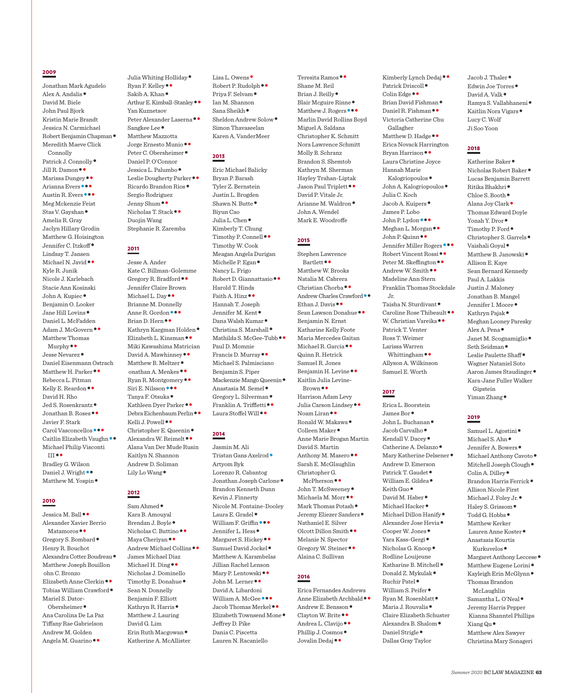## 2009

Jonathan Mark Agudelo Alex A. Andalis• David M. Biele John Paul Bjork Kristin Marie Brandt Jessica N. Carmichael Robert Benjamin Chapman• Meredith Maeve Click Connolly Patrick J. Connolly<br>• Jill R. Damon<br>•• Marissa Dungey<br>•• Arianna Evers<br>••• Meg Mckenzie Feist Stas V. Gayshan• Amelia R. Gray Jaclyn Hillary Grodin Matthew G. Hoisington Jennifer C. Itzkoff• Lindsay T. Jansen Michael N. Javid •• Kyle R. Junik Nicole J. Karlebach Stacie Ann Kosinski John A. Kupiec• Benjamin O. Looker Jane Hill Lovins• Daniel L. McFadden Adam J. McGovern•• Matthew Thomas Murphy•• Jesse Nevarez• Daniel Eisenmann Ostrach Matthew H. Parker•• Rebecca L. Pitman Kelly E. Reardon •• David H. Rho Jed S. Rosenkrantz• Jonathan B. Roses•• Javier F. Stark Carol Vasconcellos • • •<br>Caitlin Elizabeth Vaughn • • Michael Philip Visconti III•• Bradley G. Wilson Daniel J. Wright ••<br>Matthew M. Yospin •

2010

Jessica M. Ball•• Alexander Xavier Berrio Matamoros ••<br>Gregory S. Bombard • Henry R. Bouchot Alexandra Cotter Boudreau• Matthew Joseph Bouillon ohn C. Bronzo Elizabeth Anne Clerkin•• Tobias William Crawford• Mariel S. Dator-Obersheimer• Ana Carolina De La Paz Tiffany Rae Gabrielson Andrew M. Golden Angela M. Guarino••

Julia Whiting Holliday ●<br>Ryan F. Kelley ●●<br>Sakib A. Khan ●<br>Arthur E. Kimball-Stanley ●● Yan Kuznetsov Peter Alexander Laserna•• Sangkee Lee• Matthew Mazzotta Jorge Ernesto Munio•• Peter C. Obersheimer• Daniel P. O'Connor Jessica L. Palumbo• Leslie Dougherty Parker•• Ricardo Brandon Rios• Sergio Rodriguez Jenny Shum • •<br>Nicholas T. Stack • • Duojin Wang Stephanie R. Zaremba

## 2011

Jesse A. Ander Kate C. Billman-Golemme Gregory R. Bradford•• Jennifer Claire Brown Michael L. Day•• Brianne M. Donnelly Anne R. Gordon • • •<br>Brian D. Hern • •<br>Kathryn Kargman Holden •<br>Elizabeth L. Kinsman • • Miki Kawashima Matrician David A. Mawhinney<br>
Matthew B. Meltzer<br>
onathan A. Menkes<br>
Pyan R. Montgomery<br>
Siri E. Nilsson<br>
Tanya F. Otsuka<br>
Kathleen Dyer Parker<br>
Nebra Eichenbaum Perlin<br>
Kelli J. Powell<br>
Christopher E. Queenin<br>
Alexandra W. Reimelt Alana Van Der Mude Rusin Kaitlyn N. Shannon Andrew D. Soliman Lily Lo Wang•

## 2012

Sam Ahmed• Kara B. Amouyal Brendan J. Boyle •<br>Nicholas C. Buttino • •<br>Maya Cheriyan • •<br>Andrew Michael Collins • • James Michael Diaz Michael H. Ding•• Nicholas J. Dominello Timothy E. Donahue• Sean N. Donnelly Benjamin F. Elliott Kathryn R. Harris• Matthew J. Lauring David G. Lim Erin Ruth Macgowan• Katherine A. McAllister

Lisa L. Owens •<br>Robert P. Rudolph • •<br>Priya F. Selvam • Ian M. Shannon Sana Sheikh <sup>●</sup><br>Sheldon Andrew Solow ● Simon Thavaseelan Karen A. VanderMeer

## 2013

Eric Michael Balicky Bryan P. Barash Tyler Z. Bernstein Justin L. Brogden Shawn N. Butte ● Biyun Cao Julia L. Chen• Kimberly T. Chung Timothy P. Connell•• Timothy W. Cook Meagan Angela Durigan Michelle P. Egan• Nancy L. Frigo Robert D. Giannattasio•• Harold T. Hinds Faith A. Hinz•• Hannah T. Joseph Jennifer M. Kent ●<br>Dana Walsh Kumar ●<br>Christina S. Marshall ●<br>Mathilda S. McGee-Tubb ●● Paul D. Momnie Francis D. Murray•• Michael S. Palmisciano Benjamin S. Piper Mackenzie Mango Queenin •<br>Anastasia M. Semel •<br>Gregory L. Silverman •<br>Franklin A. Triffletti ••<br>Laura Stoffel Will ••

## 2014

Jasmin M. Ali Tristan Gans Axelrod• Artyom Byk Lorenzo R. Cabantog Jonathan Joseph Carlone• Brandon Kenneth Dunn Kevin J. Finnerty Nicole M. Fontaine-Dooley Laura E. Gradel<br>• William F. Griffin<br>••• Jennifer L. Hess<br>• Margaret S. Hickey<br>•• Samuel David Jockel Matthew A. Karambelas Jillian Rachel Lenson Mary P. Lentowski••<br>John M. Lerner•• David A. Libardoni William A. McGee •••<br>Jacob Thomas Merkel ••<br>Elizabeth Townsend Mone • Jeffrey D. Pike Dania C. Piscetta Lauren N. Racaniello

Teresita Ramos•• Shane M. Reil Brian J. Reilly ●<br>Blair Mcguire Rinne ●<br>Matthew J. Rogers ● ● Marlin David Rollins Boyd Miguel A. Saldana Christopher K. Schmitt Nora Lawrence Schmitt Molly B. Schranz Brandon S. Shemtob Kathryn M. Sherman Hayley Trahan-Liptak Jason Paul Triplett •• David P. Vitale Jr. Arianne M. Waldron• John A. Wendel Mark E. Woodroffe

## 2015

Stephen Lawrence Bartlett•• Matthew W. Brooks Natalia M. Cabrera Christian Chorba • •<br>Andrew Charles Crawford • •<br>Ethan J. Davis • •<br>Sean Lawson Donahue • • Benjamin N. Ernst Katharine Kelly Foote Maria Mercedes Gaitan Michael R. Garcia•• Quinn R. Hetrick Samuel R. Jones Benjamin H. Levine•• Kaitlin Julia Levine-Brown•• Harrison Adam Levy Julia Carson Lindsey • •<br>Noam Liran • •<br>Ronald W. Makawa •<br>Colleen Maker • Anne Marie Brogan Martin David S. Martin Anthony M. Masero •• Sarah E. McGlaughlin Christopher G. McPherson<br>•• John T. McSweeney<br>• Michaela M. Morr<br>•• Mark Thomas Potash<br>• Jeremy Eliezer Sanders Nathaniel E. Silver Olcott Dillon Smith•• Melanie N. Spector Gregory W. Steiner•• Alaina C. Sullivan

## 2016

Erica Fernandes Andrews Andrew E. Bensson<br>• Clayton W. Brite<br>•• Andrea L. Clavijo<br>•• Andrea L. Clavijo<br>•• Phillip J. Cosmos<br>• Jovalin Dedaj••

Kimberly Lynch Dedaj • •<br>Patrick Driscoll •<br>Colin Edge • •<br>Brian David Fishman •<br>Daniel R. Fishman • • Victoria Catherine Chu Gallagher Matthew D. Hadge<sup>••</sup> Erica Novack Harrington Bryan Harrison•• Laura Christine Joyce Hannah Marie Kalogriopoulos ●<br>John A. Kalogriopoulos ● Julia C. Koch Jacob A. Kuipers• James P. Lobo John P. Lydon •••<br>Meghan L. Morgan ••<br>John P. Quinn ••<br>Peter M. Skeffington ••<br>Peter M. Skeffington ••<br>Andrew W. Smith •• Madeline Ann Stern Franklin Thomas Stockdale Jr. Taisha N. Sturdivant ●<br>Caroline Rose Thibeault ●●<br>W. Christian Vareika ●● Patrick T. Venter

Ross T. Weimer Larissa Warren Whittingham•• Allyson A. Wilkinson Samuel E. Worth

## 2017

Erica L. Boorstein John L. Buchanan ●<br>Jacob Carvalho ●<br>Kendall V. Dacey ●<br>Catherine A. Delanzo ●<br>Mary Katherine Delsener ● Andrew D. Emerson Patrick T. Gaudet ●<br>William E. Gildea ●<br>Keith Guo ●<br>David M. Haber ●<br>Michael Hacker ●<br>Michael Dillon Hanify ●<br>Alexander Jose Hevia ●<br>Yara Kass-Gergi ●<br>Nicholas G. Knoop ● Rodline Louijeune Katharine B. Mitchell<br>• Donald Z. Mykulak<br>• Ruchir Patel<br>• William S. Peifer<br>• Ryan M. Rosenblatt<br>• Maria J. Rouvalis<br>• Claire Elizabeth Schuster Alexandra B. Shalom ●<br>Daniel Strigle ● Dallas Gray Taylor

Jacob J. Thaler<br>• Edwin Joe Torres<br>• David A. Valk<br>• Ramya S. Vallabhaneni<br>• Kaitlin Nora Vigars • Lucy C. Wolf Ji Soo Yoon

## 2018

Katherine Baker•<br>Nicholas Robert Baker• Lucas Benjamin Barrett Ritika Bhakhri ●<br>Chloe S. Booth ●<br>Alana Joy Clark ● Thomas Edward Doyle Yonah Y. Dror<br>• Timothy P. Ford<br>• Christopher S. Garrels<br>• Vaishali Goyal<br>• Matthew B. Janowski<br>• Allison E. Kaye Sean Bernard Kennedy Paul A. Lakkis Justin J. Maloney Jonathan B. Mangel Jennifer I. Moore ●<br>Kathryn Pajak ● Meghan Looney Paresky Alex A. Pena •<br>Janet M. Scognamiglio •<br>Seth Seidman •<br>Leslie Paulette Shaff • Wagner Nataniel Soto Aaron James Staudinger• Kara-Jane Fuller Walker Ginstein Yiman Zhang•

## 2019

Samuel L. Agostini<br>• Michael S. Ahn<br>• Jennifer A. Bowers<br>• Michael Anthony Cavoto<br>• Mitchell Joseph Clough<br>• Colin A. Dilley<br>• Brandon Harris Ferrick<br>• Allison Nicole First Michael J. Foley Jr. •<br>Haley S. Grissom •<br>Todd G. Hobbs • Matthew Kerker Lauren Anne Koster• Anastasia Kourtis Kurkuvelos •<br>Margaret Anthony Leccese •<br>Matthew Eugene Lorini •<br>Kayleigh Erin McGlynn • Thomas Brandon McLaughlin Samantha L. O'Neal• Jeremy Harris Pepper Kianna Shanntel Phillips Xiang Qu• Matthew Alex Sawyer Christina Mary Sonageri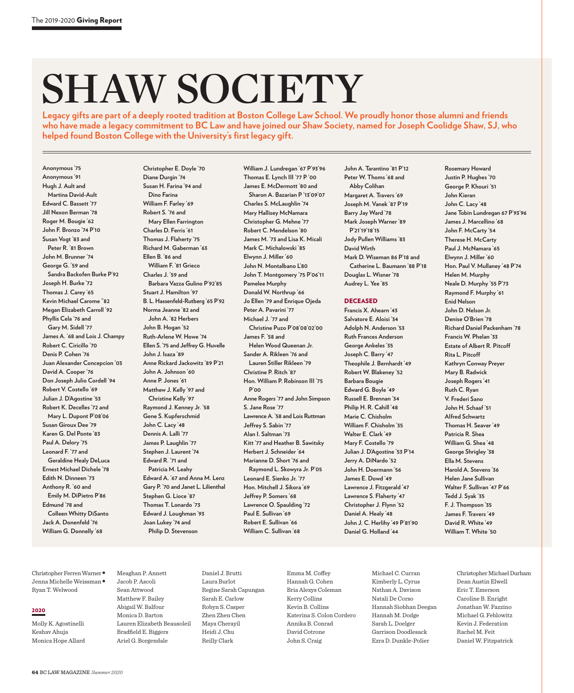# **SHAW SOCIETY**

**Legacy gifts are part of a deeply rooted tradition at Boston College Law School. We proudly honor those alumni and friends who have made a legacy commitment to BC Law and have joined our Shaw Society, named for Joseph Coolidge Shaw, SJ, who helped found Boston College with the University's first legacy gift.**

**Anonymous '75 Anonymous '91 Hugh J. Ault and Martina David-Ault Edward C. Bassett '77 Jill Nexon Berman '78 Roger M. Bougie '62 John F. Bronzo '74 P'10 Susan Vogt '83 and Peter R. '81 Brown John M. Brunner '74 George G. '59 and Sandra Backofen Burke P'92 Joseph H. Burke '72 Thomas J. Carey '65 Kevin Michael Carome ''82 Megan Elizabeth Carroll '92 Phyllis Cela '76 and Gary M. Sidell '77 James A. '68 and Lois J. Champy Robert C. Ciricillo '70 Denis P. Cohen '76 Juan Alexander Concepcion '03 David A. Cooper '76 Don Joseph Julio Cordell '94 Robert V. Costello '69 Julian J. D'Agostine '53 Robert K. Decelles '72 and Mary L. Dupont P'08'06 Susan Giroux Dee '79 Karen G. Del Ponte '83 Paul A. Delory '75 Leonard F. '77 and Geraldine Healy DeLuca Ernest Michael Dichele '78 Edith N. Dinneen '73 Anthony R. '60 and Emily M. DiPietro P'86 Edmund '78 and Colleen Whitty DiSanto Jack A. Donenfeld '76 William G. Donnelly '68**

**Christopher E. Doyle '70 Diane Durgin '74 Susan H. Farina '94 and Dino Farina William F. Farley '69 Robert S. '76 and Mary Ellen Farrington Charles D. Ferris '61 Thomas J. Flaherty '75 Richard M. Gaberman '63 Ellen B. '86 and William F. '81 Grieco Charles J. '59 and Barbara Vazza Gulino P'92'85 Stuart J. Hamilton '97 B. L. Hassenfeld-Rutberg '65 P'92 Norma Jeanne '82 and John A. '82 Herbers John B. Hogan '52 Ruth-Arlene W. Howe '74 Ellen S. '75 and Jeffrey G. Huvelle John J. Isaza '89 Anne Rickard Jackowitz '89 P'21 John A. Johnson '60 Anne P. Jones '61 Matthew J. Kelly '97 and Christine Kelly '97 Raymond J. Kenney Jr. '58 Gene S. Kupferschmid John C. Lacy '48 Dennis A. Lalli '77 James P. Laughlin '77 Stephen J. Laurent '74 Edward R. '71 and Patricia M. Leahy Edward A. '67 and Anna M. Lenz Gary P. '70 and Janet L. Lilienthal Stephen G. Lioce '87 Thomas T. Lonardo '73 Edward J. Loughman '93 Joan Lukey '74 and Philip D. Stevenson**

**William J. Lundregan '67 P'93'96 Thomas E. Lynch III '77 P '00 James E. McDermott '80 and Sharon A. Bazarian P '13'09'07 Charles S. McLaughlin '74 Mary Hallisey McNamara Christopher G. Mehne '77 Robert C. Mendelson '80 James M. '73 and Lisa K. Micali Mark C. Michalowski '85 Elwynn J. Miller '60 John N. Montalbano L'80 John T. Montgomery '75 P'06'11 Pamelee Murphy Donald W. Northrup '66 Jo Ellen '79 and Enrique Ojeda Peter A. Pavarini '77 Michael J. '77 and Christine Puzo P'08'08'02'00 James F. '58 and Helen Wood Queenan Jr. Sander A. Rikleen '76 and Lauren Stiller Rikleen '79 Christine P. Ritch '87 Hon. William P. Robinson III '75 P'00 Anne Rogers '77 and John Simpson S. Jane Rose '77 Lawrence A. '58 and Lois Ruttman Jeffrey S. Sabin '77 Alan I. Saltman '73 Kitt '77 and Heather B. Sawitsky Herbert J. Schneider '64 Marianne D. Short '76 and Raymond L. Skowyra Jr. P'05 Leonard E. Sienko Jr. '77 Hon. Mitchell J. Sikora '69 Jeffrey P. Somers '68 Lawrence O. Spaulding '72 Paul E. Sullivan '69 Robert E. Sullivan '66 William C. Sullivan '68**

**John A. Tarantino '81 P'12 Peter W. Thoms '68 and Abby Colihan Margaret A. Travers '69 Joseph M. Vanek '87 P'19 Barry Jay Ward '78 Mark Joseph Warner '89 P'21'19'18'15 Jody Pullen Williams '83 David Wirth Mark D. Wiseman 86 P'18 and Catherine L. Baumann '88 P'18 Douglas L. Wisner '78 Audrey L. Yee '85**

## **DECEASED**

**Francis X. Ahearn '43 Salvatore E. Aloisi '34 Adolph N. Anderson '53 Ruth Frances Anderson George Ankeles '35 Joseph C. Barry '47 Theophile J. Bernhardt '49 Robert W. Blakeney '52 Barbara Bougie Edward G. Boyle '49 Russell E. Brennan '34 Philip H. R. Cahill '48 Marie C. Chisholm William F. Chisholm '35 Walter E. Clark '49 Mary F. Costello '79 Julian J. D'Agostine '53 P'14 Jerry A. DiNardo '52 John H. Doermann '56 James E. Dowd '49 Lawrence J. Fitzgerald '47 Lawrence S. Flaherty '47 Christopher J. Flynn '52 Daniel A. Healy '48 John J. C. Herlihy '49 P'81'90 Daniel G. Holland '44**

**Justin P. Hughes '70 George P. Khouri '51 John Kieran John C. Lacy '48 Jane Tobin Lundregan 67 P'93'96 James J. Marcellino '68 John F. McCarty '54 Therese H. McCarty Paul J. McNamara '65 Elwynn J. Miller '60 Hon. Paul V. Mullaney '48 P'74 Helen M. Murphy Neale D. Murphy '55 P'73 Raymond F. Murphy '61 Enid Nelson John D. Nelson Jr. Denise O'Brien '78 Richard Daniel Packenham '78 Francis W. Phelan '33 Estate of Albert R. Pitcoff Rita L. Pitcoff Kathryn Conway Preyer Mary B. Radwick Joseph Rogers '41 Ruth C. Ryan V. Frederi Sano John H. Schaaf '51 Alfred Schwartz Thomas H. Seaver '49 Patricia R. Shea William G. Shea '48 George Shrigley '38 Ella M. Stevens Harold A. Stevens '36 Helen Jane Sullivan Walter F. Sullivan '47 P'66 Tedd J. Syak '35 F. J. Thompson '35 James F. Travers '49 David R. White '49 William T. White '50**

**Rosemary Howard**

Christopher Ferren Warner• Jenna Michelle Weissman• Ryan T. Welwood

## 2020

Molly K. Agostinelli Keshav Ahuja Monica Hope Allard Meaghan P. Annett Jacob P. Ascoli Sean Attwood Matthew F. Bailey Abigail W. Balfour Monica D. Barton Lauren Elizabeth Beausoleil Bradfield E. Biggers Ariel G. Borgendale

Daniel J. Brutti Laura Burlot Regine Sarah Capungan Sarah E. Carlow Robyn S. Casper Zhen Zhen Chen Maya Cherayil Heidi J. Chu Reilly Clark

Emma M. Coffey Hannah G. Cohen Bria Alexys Coleman Kerry Collins Kevin B. Collins Katerina S. Colon Cordero Annika B. Conrad David Cotrone John S. Craig

Michael C. Curran Kimberly L. Cyrus Nathan A. Davison Natali De Corso Hannah Siobhan Deegan Hannah M. Dodge Sarah L. Doelger Garrison Doodlesack Ezra D. Dunkle-Polier

Christopher Michael Durham Dean Austin Elwell Eric T. Emerson Caroline B. Enright Jonathan W. Fazzino Michael G. Feblowitz Kevin J. Federation Rachel M. Feit Daniel W. Fitzpatrick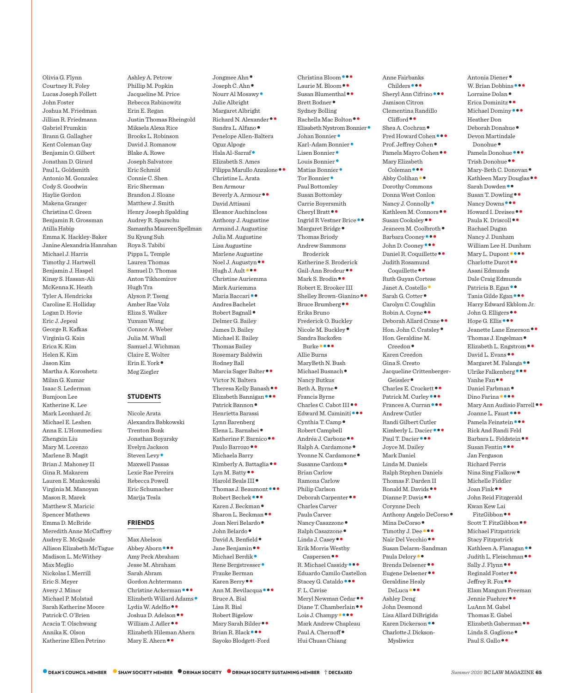Olivia G. Flynn Courtney R. Foley Lucas Joseph Follett John Foster Joshua M. Friedman Jillian R. Friedmann Gabriel Frumkin Brann G. Gallagher Kent Coleman Gay Benjamin O. Gilbert Jonathan D. Girard Paul L. Goldsmith Antonio M. Gonzalez Cody S. Goodwin Haylie Gordon Makena Granger Christina C. Green Benjamin R. Grossman Atilla Habip Emma K. Hackley-Baker Janine Alexandria Hanrahan Michael J. Harris Timothy J. Hartwell Benjamin J. Haspel Kinsy S. Hassan-Ali McKenna K. Heath Tyler A. Hendricks Caroline E. Holliday Logan D. Hovie Eric J. Jepeal George R. Kafkas Virginia G. Kain Erica K. Kim Helen K. Kim Jason Kim Martha A. Koroshetz Milan G. Kumar Isaac S. Lederman Bumjoon Lee Katherine K. Lee Mark Leonhard Jr. Michael E. Leshen Anna E. L'Hommedieu Zhengxin Liu Mary M. Lorenzo Marlene B. Magit Brian J. Mahoney II Gina R. Makarem Lauren E. Mankowski Virginia M. Manoyan Mason R. Marek Matthew S. Maricic Spencer Mathews Emma D. McBride Meredith Anne McCaffrey Audrey E. McQuade Allison Elizabeth McTague Madison L. McWithey Max Meglio Nickolas I. Merrill Eric S. Meyer Avery J. Minor Michael P. Molstad Sarah Katherine Moore Patrick C. O'Brien Acacia T. Olschwang Annika K. Olson Katherine Ellen Petrino

Ashley A. Petrow Phillip M. Popkin Jacqueline M. Price Rebecca Rabinowitz Erin E. Regan Justin Thomas Rheingold Mikaela Alexa Rice Brooks L. Robinson David J. Romanow Blake A. Rowe Joseph Salvatore Eric Schmid Connie C. Shen Eric Sherman Brandon J. Sloane Matthew J. Smith Henry Joseph Spalding Audrey R. Sparschu Samantha Maureen Spellman Su Kyung Suh Roya S. Tabibi Pippa L. Temple Lauren Thomas Samuel D. Thomas Anton Tikhomirov Hugh Tra Alyson P. Tseng Amber Rae Volz Eliza S. Walker Yuxuan Wang Connor A. Weber Julia M. Whall Samuel J. Wichman Claire E. Wolter Erin E. York• Meg Ziegler

## **STUDENTS**

Nicole Arata Alexandra Babkowski Trenton Bonk Jonathan Boyarsky Evelyn Jackson Steven Levy• Maxwell Passas Lexie Rae Pereira Rebecca Powell Eric Schumacher Marija Tesla

## FRIENDS

Max Abelson Abbey Aborn ••• Amy Peck Abraham Jesse M. Abraham Sarah Abram Gordon Achtermann Christine Ackerman<br>•• Elizabeth Willard Adams<br>• Lydia W. Adelfio<br>•• Joshua D. Adelson<br>•• William J. Adler Elizabeth Hileman Ahern Mary E. Ahern ••

Jongmee Ahn ●<br>Joseph C. Ahn ●<br>Nourr Al Mosawy ● Julie Albright Margaret Albright Richard N. Alexander•• Sandra L. Alfano• Penelope Allen-Baltera Oguz Alpoge Hala Al-Sarraf• Elizabeth S. Ames Filippa Marullo Anzalone•• Christine L. Arata Ben Armour Beverly A. Armour•• David Attisani Eleanor Auchincloss Anthony J. Augustine Armand J. Augustine Julia M. Augustine Lisa Augustine Marlene Augustine Noel J. Augustyn ••<br>Hugh J. Ault ••• Christine Auriemma Mark Auriemma Maria Baccari •• Andres Bachelet Robert Bagnall• Delmer G. Bailey James D. Bailey Michael E. Bailey Thomas Bailey Rosemary Baldwin Rodney Ball Marcia Sager Balter•• Victor N. Baltera Theresa Kelly Banash • •<br>Elizabeth Bannigan • • •<br>Patrick Bannon • Henrietta Barassi Lynn Barenberg Elena L. Barnabei •<br>Katherine F. Barnico • •<br>Paulo Barrozo • • Michaela Barry Kimberly A. Battaglia<br>
Lyn M. Batty<br>
Harold Beals III<br>
Thomas J. Beaumont<br>
Robert Bechek<br>
Karen J. Beckman<br>
Sharon L. Beckman<br>
Sharon L. Beckman<br>
John Belardo<br>
David A. Benfield<br>
David A. Benfield<br>
Michael Berdik<br>
Michael Frauke Berman Karen Berry • •<br>Ann M. Bevilacqua • • • Bruce A. Bial Lisa R. Bial Robert Bigelow Mary Sarah Bilder<br>•• Brian R. Black Sayoko Blodgett-Ford

Christina Bloom •••<br>Laurie M. Bloom ••<br>Susan Blumenthal ••<br>Brett Bodner • Sydney Bolling Rachella Mac Bolton ••<br>Elisabeth Nystrom Bonnier •<br>Johan Bonnier •<br>Karl-Adam Bonnier •<br>Lisen Bonnier •<br>Matias Bonnier •<br>Tor Bonnier •<br>Tor Bonnier • Paul Bottomley Susan Bottomley Carrie Boyersmith Cheryl Bratt ••<br>Ingrid R Vestner Brice ••<br>Margaret Bridge • Thomas Briody Andrew Sammons Broderick Katherine S. Broderick Gail-Ann Brodeur••<br>Mark S. Brodin•• Robert E. Brooker III Shelley Brown-Gianino••<br>Bruce Brumberg•• Erika Bruno Frederick O. Buckley Nicole M. Buckley• Sandra Backofen Burke•••• Allie Burns MaryBeth N. Bush Michael Busnach• Nancy Butkus Beth A. Byrne• Francis Byrne Charles C. Cabot III ••<br>Edward M. Caminiti •••<br>Cynthia T. Camp • Robert Campbell Andréa J. Carbone<br>•• Ralph A. Cardamone<br>• Yvonne N. Cardamone<br>• Susanne Cardoza Brian Carlow Ramona Carlow Philip Carlson Deborah Carpenter•• Charles Carver Paula Carver Nancy Casazzone •<br>Ralph Casazzone •<br>Linda J. Casey • Erik Morris Westby Caspersen • •<br>R. Michael Cassidy • • • Eduardo Camilo Castellon Stacey G. Cataldo ••• F. L. Cavise Meryl Newman Cedar<br>•• Diane T. Chamberlain<br>Lois J. Champy Mark Andrew Chapleau Paul A. Chernoff• Hui Chuan Chiang

Childers •••<br>Sheryl Ann Cifrino ••• Jamison Citron Clementina Randillo Clifford • •<br>Shea A. Cochran •<br>Fred Howard Cohen • •<br>Prof. Jeffrey Cohen • •<br>Pamela Mayro Cohen • • Mary Elizabeth Coleman •••<br>Abby Colihan •• Dorothy Commons Donna West Conlon Nancy J. Connolly<br>• Kathleen M. Connors<br>•• Susan Cooksley<br>•• Jeaneen M. Coolbroth<br>• Barbara Cooney<br>••• John D. Cooney<br>•••<br>Daniel R. Coquillette Judith Rosamund Coquillette•• Ruth Guyan Cortese Janet A. Costello •<br>Sarah G. Cotter • Carolyn C. Coughlin Robin A. Coyne ●●<br>Deborah Allard Crane ●●<br>Hon. John C. Cratsley ● Hon. Geraldine M. Creedon• Karen Creedon Gina S. Cresto Jacqueline Crittenberger-Geissler<br>• Charles E. Crockett<br>•• Patrick M. Curley<br>••• Frances A. Curran Andrew Cutler Randi Gilbert Cutler Kimberly L. Dacier • • •<br>Paul T. Dacier • • • Joyce M. Dailey Mark Daniel Linda M. Daniels Ralph Stephen Daniels Thomas F. Darden II Ronald M. Davids<br>Dianne P. Davis<br>•• Corynne Dech Anthony Angelo DeCorso •<br>Mina DeCorso •<br>Timothy J. Dee •••<br>Nair Del Vecchio • • Susan Delarm-Sandman Paula Delory • •<br>Brenda Delsener • •<br>Eugene Delsener • • Geraldine Healy DeLuca••• Ashley Deng John Desmond Lisa Allard DiBrigida Karen Dickerson•• Charlotte J. Dickson-Mysliwicz

Anne Fairbanks

Antonia Diener •<br>W. Brian Dobbins •••<br>Lorraine Dolan •<br>Erica Dominitz ••<br>Michael Dominy ••• Heather Don Deborah Donahue• Devon Martindale Donohue •<br>Pamela Donohue ••<br>Trish Donohue ••<br>Mary-Beth C. Donovan •<br>Kathleen Mary Douglas ••<br>Susan T. Dowling ••<br>Nancy Downs •••<br>Howard I. Dreises ••<br>Paula K. Driscoll •• Rachael Dugan Nancy J. Dunham William Lee H. Dunham Mary L. Dupont••••<br>Charlotte Durot•• Asani Edmunds Dale Craig Edmunds Patricia B. Egan • •<br>Tania Gilde Egan • • • Harry Edward Ekblom Jr. John G. Elligers<br>
Hope G. Ellis<br>
Jeanette Lane Emerson<br>
Thomas J. Engelman<br>
Elizabeth L. Engstrom<br>
David L. Evans<br>
Margaret M. Falanga<br>
Margaret M. Falanga<br>
Virike Falkenberg<br>
Daniel Farbman<br>
Dino Farina<br>
Dino Farina<br>
Mary Rick And Randi Feld Barbara L. Feldstein ••<br>Susan Fentin ••• Jan Ferguson Richard Ferris Nina Sing Fialkow• Michelle Fiddler Joan Fink•• John Reid Fitzgerald Kwan Kew Lai FitzGibbon•• Scott T. FitzGibbon•• Michael Fitzpatrick Stacy Fitzpatrick Kathleen A. Flanagan<br>•• Judith L. Fleischman<br>•• Sally J. Flynn<br>••<br>Reginald Foster<br>•• Jeffrey R. Fox<br>•• Elam Mangum Freeman Jennie Fuehrer•• LuAnn M. Gabel Thomas E. Gabel Elizabeth Gaberman•• Linda S. Gaglione• Paul S. Gallo••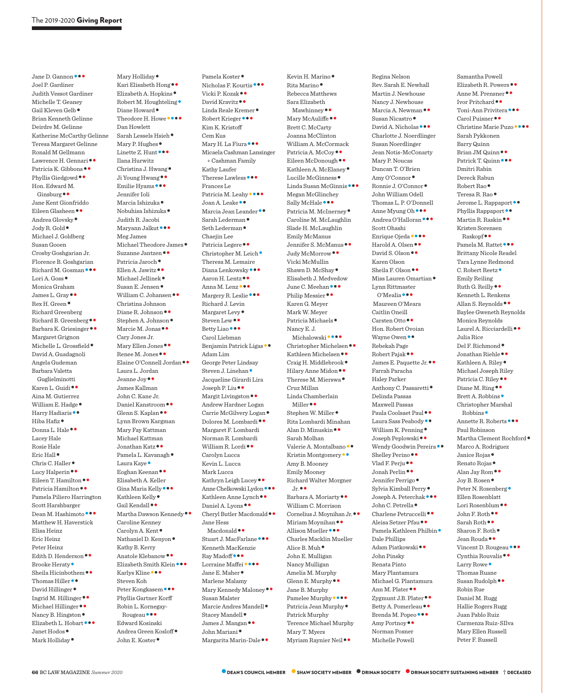Jane D. Gannon ••• Joel P. Gardiner Judith Vessot Gardiner Michelle T. Geaney Gail Kleven Gelb• Brian Kenneth Gelinne Deirdre M. Gelinne Katherine McCarthy Gelinne Teresa Margaret Gelinne Ronald M Gellmann Lawrence H. Gennari••<br>Patricia K. Gibbons••<br>Phyllis Giedgowd •• Hon. Edward M. Ginsburg•• Jane Kent Gionfriddo Eileen Glasheen • •<br>Andrea Glovsky •<br>Jody R. Gold • Michael J. Goldberg Susan Gooen Crosby Goshgarian Jr. Florence B. Goshgarian Richard M. Gosman•••<br>Lori A. Goss• Monica Graham James L. Gray••<br>Rex H. Green• Richard Greenberg Richard B. Greenberg ••<br>Barbara K. Griesinger •• Margaret Grignon Michelle L. Grossfield • David A. Guadagnoli Angela Gudeman Barbara Valetta Guglielminotti Karen L. Guidi•• Aina M. Gutierrez William E. Hadge ●<br>Harry Hadiaris ●●<br>Hiba Hafiz ●<br>Donna L. Hale ●● Lacey Hale Rosie Hale Eric Hall ●<br>Chris C. Haller ●<br>Lucy Halperin ●●<br>Eileen T. Hamilton ●●<br>Patricia Hamilton ●● Pamela Piliero Harrington Scott Harshbarger Dean M. Hashimoto $\bullet\bullet$ Matthew H. Haverstick Elisa Heinz Eric Heinz Peter Heinz Edith D. Henderson ••<br>Brooke Heraty •<br>Sheila Hicinbothem ••<br>Thomas Hiller ••<br>David Hillinger ••<br>Michael Hillinger ••<br>Michael Hillinger ••<br>Elizabeth L. Hobart •••<br>Janet Hodos •<br>Mark Holliday •

Mary Holliday<br>• Kari Elisabeth Hong<br>• Elizabeth A. Hopkins<br>• Robert M. Houghteling<br>• Diane Howard<br>• Theodore H. Howe<br>•••••• Dan Howlett Sarah Lessels Hsieh •<br>Mary P. Hughes •<br>Linette Z. Hunt • •• Ilana Hurwitz Christina J. Hwang•<br>Ji Young Hwang••<br>Emilie Hyams••• Jennifer Ioli Marcia Ishizuka •<br>Nobuhisa Ishizuka • Judith R. Jacobi Maryann Jalkut<sup>•••</sup> Meg James Michael Theodore James<br>• Suzanne Jantzen<br>• Patricia Jaroch<br>• Ellen A. Jawitz<br>• Michael Jellinek<br>• Susan E. Jensen<br>• William C. Johansen<br>•• Christina Johnson Diane R. Johnson<br>Stephen A. Johnson<br>Marcie M. Jonas Cary Jones Jr. Mary Ellen Jones • •<br>Renee M. Jones • •<br>Elaine O'Connell Jordan • • Laura L. Jordan Jeanne Joy•• James Kallman John C. Kane Jr. Daniel Kanstroom•• Glenn S. Kaplan•• Lynn Brown Kargman Mary Fay Kattman Michael Kattman Jonathan Katz••<br>Pamela L. Kavanagh •<br>Laura Kaye •<br>Eoghan Keenan •• Elisabeth A. Keller Gina Maria Kelly • •<br>Kathleen Kelly •<br>Gail Kendall • •<br>Martha Dawson Kennedy • • Caroline Kenney Carolyn A. Kent •<br>Nathaniel D. Kenyon • Kathy B. Kerry Anatole Klebanow•• Elizabeth Smith Klein••• Karlys Kline••• Steven Koh Peter Kongkasem ••• Phyllis Gartner Korff Robin L. Kornegay-Rougeau••• Edward Kosinski Andrea Green Kosloff• John E. Koster•

Pamela Koster •<br>• Nicholas F. Kourtis • ••<br>• Vicki P. Kozak • •<br>David Kravitz • •<br>Linda Reale Kremer •<br>• Robert Krieger • • • Kim K. Kristoff Cem Kus Mary H. La Fiura<sup>•••</sup> Micaela Cashman Lansinger + Cashman Family Kathy Laufer Therese Lawless ••• Frances Le Patricia M. Leahy<br>••• Joan A. Leake ••<br>Marcia Jean Leander<br>•• Sarah Lederman<br>•• Seth Lederman Chaejin Lee Patricia Legere • •<br>Christopher M. Leich • Theresa M. Lemaire Diana Lenkowsky •••<br>Aaron H. Lentz••<br>Anna M. Lenz•••<br>Margery R. Leslie••• Richard J. Levin Margaret Levy •<br>Steven Lew • •<br>Betty Liao • • • Carol Liebman Benjamin Patrick Ligas•• Adam Lim George Peter Lindsay Steven J. Linehan• Jacqueline Girardi Lira Joseph P. Liu••<br>Margit Livingston•• Andrew Hardner Logan Carrie McGilvery Logan•<br>Dolores M. Lombardi•• Margaret F. Lombardi Norman R. Lombardi William R. Lordi<sup>••</sup> Carolyn Lucca Kevin L. Lucca Mark Lucca Kathryn Leigh Lucey<br>•• Anne Chelkowski Lydon<br>•• Kathleen Anne Lynch<br>•• Daniel A. Lyons<br>•• Cheryl Butler Macdonald Jane Hess Macdonald • •<br>Stuart J. MacFarlane • • • Kenneth MacKenzie Ray Madoff•••<br>Lorraine Maffei ••••<br>Jane E. Maher • Marlene Malamy Mary Kennedy Maloney•• Susan Malster Marcie Andres Mandell<br>• Stacey Mandell<br>• James J. Mangan<br>• John Mariani<br>• Margarita Marin-Dale<br>•

Kevin H. Marino •<br>Rita Marino • Rebecca Matthews Sara Elizabeth Mawhinney • •<br>Mary McAuliffe • • Brett C. McCarty Joanna McClinton William A. McCormack Patricia A. McCoy••<br>Fileen McDonough ••<br>Kathleen A. McElaney •<br>Lucille McGinness •<br>Linda Susan McGinnis ••• Megan McGlinchey Sally McHale •••<br>Patricia M. McInerney • Caroline M. McLaughlin Slade H. McLaughlin Emily McManus Jennifer S. McManus ••<br>Judy McMorrow • • Vicki McMullin Shawn D. McShay• Elisabeth J. Medvedow June C. Meehan •••<br>Philip Messier •• Karen G. Meyer Mark W. Meyer Patricia Michaels• Nancy E. J. Michalowski<br>••• Christopher Michelsen<br>•• Kathleen Michelsen<br>•• Craig H. Middlebrook<br>•• Hilary Anne Midon<br>•• Therese M. Mierswa Cruz Millan Linda Chamberlain Miller•• Stephen W. Miller• Rita Lombardi Minahan Alan D. Minuskin•• Sarah Molhan Valerie A. Montalbano ••<br>Kristin Montgomery •• Amy B. Mooney Emily Mooney Richard Walter Morgner Jr.•• Barbara A. Moriarty•• William C. Morrison Cornelius J. Moynihan Jr.••<br>Miriam Moynihan ••<br>Allison Mueller ••• Charles Macklin Mueller Alice B. Muh• John E. Mulligan Nancy Mulligan Amelia M. Murphy Glenn E. Murphy •• Jane B. Murphy Pamelee Murphy ••••<br>Patricia Jean Murphy • Patrick Murphy Terence Michael Murphy Mary T. Myers Myriam Raynier Neil••

Regina Nelson Rev. Sarah E. Newhall Martin J. Newhouse Nancy J. Newhouse Marcia A. Newman<br>Susan Nicastro<br>David A. Nicholas Charlotte J. Noerdlinger Susan Noerdlinger Jean Notis-McConarty Mary P. Noucas Duncan T. O'Brien Amy O'Connor•<br>Ronnie J. O'Connor• John William Odell Thomas L. P. O'Donnell Anne Myung Oh••••<br>Andrea O'Halloran••• Scott Ohashi Enrique Ojeda ••••<br>Harold A. Olsen ••<br>David S. Olson •• Karen Olson Sheila F. Olson••<br>Miss Lauren Omartian• Lynn Rittmaster O'Mealia••• Maureen O'Meara Caitlin Oneill Carsten Otto•• Hon. Robert Ovoian Wayne Owen •• Rebekah Page Robert Pajak • •<br>James E. Paquette Jr. • • Farrah Paracha Haley Parker Anthony C. Passaretti• Delinda Passas Maxwell Passas Paula Coolsaet Paul<br>
• Laura Sass Peabody<br>
• William K. Penning<br>
• Joseph Peplowski<br>
• Wendy Goodwin Pereira<br>
• Wendy Goodwin Pereira<br>
• Mad F. Perju<br>
• Jonah Perlin<br>
• Jonah Perlin<br>
• Sylvia Kimball Perry<br>
• Joseph A. Pet Dale Phillips Adam Piatkowski•• John Pinsky Renata Pinto Mary Plantamura Michael G. Plantamura Ann M. Plater••<br>Zygmunt J.B. Plater••<br>Betty A. Pomerleau<br>••<br>Brenda M. Popeo•••<br>Amy Portnoy Norman Posner Michelle Powell

Samantha Powell Elizabeth R. Powers<br>•• Anne M. Prensner<br>•• Ivor Pritchard<br>•• Toni-Ann Privitera<br>•••• Carol Puisner<br>•••<br>Christine Marie Puzo Sarah Pykkonen Barry Quinn Brian JM Quinn ••<br>Patrick T. Quinn ••• Dmitri Rabin Dereck Rabun Robert Rao •<br>Teresa R. Rao •<br>Jerome L. Rappaport • •<br>Phyllis Rappaport • •<br>Martin R. Raskin • • Kristen Sorensen Raskopf••<br>Pamela M. Rattet ••• Brittany Nicole Readel Tara Lynne Redmond C. Robert Reetz ● Emily Reiling Ruth G. Reilly•• Kenneth L. Renkens Allan S. Reynolds•• Baylee Gweneth Reynolds Monica Reynolds Laurel A. Ricciardelli•• Julia Rice Del F. Richmond ●<br>Jonathan Riehle ●●<br>Kathleen A. Riley ● Michael Joseph Riley Patricia C. Riley ••<br>Diane M. Ring ••<br>Brett A. Robbins • Christopher Marshal Robbins •<br>Annette R. Roberts • • • Paul Robinson Martha Clement Rochford• Marco A. Rodriguez Janice Rojas• Renato Rojas• Alan Jay Rom•• Joy B. Rosen• Peter N. Rosenberg• Ellen Rosenblatt Lori Rosenblum<br>•• Sarah Roth<br>•• Sharon F. Roth<br>•• Jean Rouda<br>•• Vincent D. Rougeau<br>•• Cynthia Rouvalis<br>•• Larry Rowe<br>• Thomas Ruane Susan Rudolph•• Robin Rue Daniel M. Rugg Hallie Rogers Rugg Juan Pablo Ruiz Carmenza Ruiz-SIlva Mary Ellen Russell

Peter F. Russell